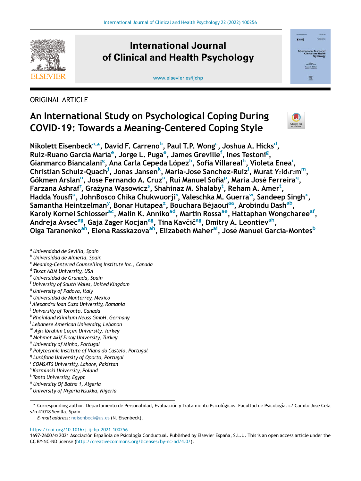

## International Journal of Clinical and Health Psychology





## ORIGINAL ARTICLE

# An International Study on Psychological Coping During COVID-19: Towards a Meaning-Centered Coping Style



Nikolett Eisenbeck<sup>a,</sup>[\\*](#page-0-1), David F. Carreno<sup>[b](#page-0-2)</sup>, Paul T.P. Wong<sup>[c](#page-0-3)</sup>, Joshua A. Hicks<sup>[d](#page-0-4)</sup>, Ruíz-Ruano García María<sup>[e](#page-0-5)</sup>, Jorge L. Puga<sup>e</sup>, James Greville<sup>[f](#page-0-6)</sup>, Ines Testoni<sup>[g](#page-0-7)</sup>, Gianmarco Biancalani<sup>[g](#page-0-7)</sup>, Ana Carla Cepeda López<sup>[h](#page-0-8)</sup>, Sofía V[i](#page-0-9)llareal<sup>h</sup>, Violeta Enea<sup>i</sup>, Christian Schulz-Quach<sup>[j](#page-0-10)</sup>, Jonas Jansen<sup>[k](#page-0-11)</sup>, Maria-Jose Sanchez-Ruiz<sup>i</sup>, Murat Y $\imath$ [l](#page-0-12)d $\imath\imath$ m<sup>m</sup>, Gökme[n](#page-0-14) Arslan<sup>n</sup>, J[o](#page-0-15)sé Fernando A. Cruz<su[p](#page-0-16)>o</sup>, Rui Manuel Sofia<sup>p</sup>, Maria José Ferreira<sup>[q](#page-0-17)</sup>, Fa[r](#page-0-18)zana A[s](#page-0-19)hraf'', Grażyna Wąsowicz $^{\mathsf{s}}$  $^{\mathsf{s}}$  $^{\mathsf{s}}$ , Shahinaz M. Shalaby $^{\mathsf{t}}$ , Reham A. Amer $^{\mathsf{t}}$ , Hadda Yo[u](#page-0-21)sfi<sup>u</sup>, JohnBosco Chika Chukwuorji<sup>[v](#page-0-22)</sup>, Valeschka M. Guerra<sup>w</sup>, Sandeep Singh<sup>x</sup>, Samantha Heintzelman<sup>[y](#page-1-2)</sup>, Bonar Hutapea<sup>[z](#page-1-3)</sup>, Bouchara Béjaoui<sup>[aa](#page-1-4)</sup>, Arobindu Dash<sup>ab</sup>, Karoly Kornel Schlosser<sup>ac</sup>, Malin K. Anniko<sup>ad</sup>, Martin Rossa<sup>ae</sup>, Hattaphan Wongcharee<sup>af</sup>, Andreja Avsec<sup>[ag](#page-1-10)</sup>, Gaja Zager Kocjan<sup>ag</sup>, Tina Kavčič<sup>ag</sup>, Dmitry A. Leontiev<sup>ah</sup>, Olga Taranenko<sup>[ah](#page-1-11)</sup>, Elena Rasskazova<sup>ah</sup>, Elizabeth Mahe[rai](#page-1-12), José Manuel García-Montes<sup>[b](#page-0-2)</sup>

<span id="page-0-0"></span><sup>a</sup> Universidad de Sevilla, Spain

- <span id="page-0-2"></span><sup>b</sup> Universidad de Almería, Spain
- <span id="page-0-3"></span><sup>c</sup> Meaning-Centered Counselling Institute Inc., Canada
- <span id="page-0-4"></span><sup>d</sup> Texas A&M University, USA
- <span id="page-0-5"></span><sup>e</sup> Universidad de Granada, Spain
- <span id="page-0-6"></span><sup>f</sup> University of South Wales, United Kingdom
- <span id="page-0-7"></span><sup>g</sup> University of Padova, Italy
- <span id="page-0-8"></span>h Universidad de Monterrey, Mexico
- <span id="page-0-9"></span><sup>i</sup> Alexandru Ioan Cuza University, Romania
- <span id="page-0-10"></span><sup>j</sup> University of Toronto, Canada
- <span id="page-0-11"></span><sup>k</sup> Rheinland Klinikum Neuss GmbH, Germany
- <span id="page-0-12"></span><sup>l</sup> Lebanese American University, Lebanon
- <span id="page-0-13"></span> $^{\mathsf{m}}$  Ağr $_{l}$  İbrahim Çeçen University, Turkey
- <span id="page-0-14"></span><sup>n</sup> Mehmet Akif Ersoy University, Turkey
- <span id="page-0-15"></span><sup>o</sup> University of Minho, Portugal
- <span id="page-0-16"></span><sup>p</sup> Polytechnic Institute of Viana do Castelo, Portugal
- <span id="page-0-18"></span><span id="page-0-17"></span><sup>q</sup> Lusófona University of Oporto, Portugal
- <sup>r</sup> COMSATS University, Lahore, Pakistan
- <span id="page-0-19"></span><sup>s</sup> Kozminski University, Poland
- <span id="page-0-20"></span><sup>t</sup> Tanta University, Egypt
- <span id="page-0-21"></span><sup>u</sup> University Of Batna 1, Algeria

<span id="page-0-22"></span><sup>v</sup> University of Nigeria Nsukka, Nigeria

<span id="page-0-1"></span>\* Corresponding author: Departamento de Personalidad, Evaluación y Tratamiento Psicológicos. Facultad de Psicología. c/ Camilo José Cela s/n 41018 Sevilla, Spain.

<https://doi.org/10.1016/j.ijchp.2021.100256>

E-mail address: [neisenbeck@us.es](mailto:neisenbeck@us.es) (N. Eisenbeck).

<sup>1697-2600/© 2021</sup> Asociación Española de Psicología Conductual. Published by Elsevier España, S.L.U. This is an open access article under the CC BY-NC-ND license ([http://creativecommons.org/licenses/by-nc-nd/4.0/\)](http://creativecommons.org/licenses/by-nc-nd/4.0/).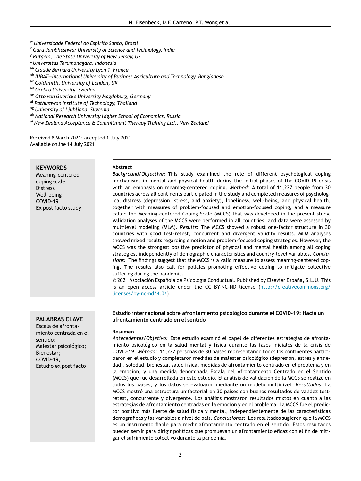- <span id="page-1-0"></span><sup>w</sup> Universidade Federal do Espírito Santo, Brazil
- <span id="page-1-1"></span><sup>x</sup> Guru Jambheshwar University of Science and Technology, India
- <span id="page-1-2"></span><sup>y</sup> Rutgers, The State University of New Jersey, US
- <span id="page-1-3"></span><sup>z</sup> Universitas Tarumanagara, Indonesia
- <span id="page-1-4"></span>aa Claude Bernard University Lyon 1, France
- <span id="page-1-5"></span>ab IUBAT-International University of Business Agriculture and Technology, Bangladesh
- <span id="page-1-6"></span>ac Goldsmith, University of London, UK
- <span id="page-1-7"></span>ad Örebro University, Sweden
- <span id="page-1-8"></span>ae Otto von Guericke University Magdeburg, Germany
- <span id="page-1-9"></span>af Pathumwan Institute of Technology, Thailand
- <span id="page-1-10"></span>ag University of Ljubljana, Slovenia
- <span id="page-1-11"></span>ah National Research University Higher School of Economics, Russia
- <span id="page-1-12"></span>ai New Zealand Acceptance & Commitment Therapy Training Ltd., New Zealand

Received 8 March 2021; accepted 1 July 2021 Available online 14 July 2021

## **KEYWORDS**

Meaning-centered coping scale Distress Well-being COVID-19 Ex post facto study

#### Abstract

Background/Objective: This study examined the role of different psychological coping mechanisms in mental and physical health during the initial phases of the COVID-19 crisis with an emphasis on meaning-centered coping. Method: A total of 11,227 people from 30 countries across all continents participated in the study and completed measures of psychological distress (depression, stress, and anxiety), loneliness, well-being, and physical health, together with measures of problem-focused and emotion-focused coping, and a measure called the Meaning-centered Coping Scale (MCCS) that was developed in the present study. Validation analyses of the MCCS were performed in all countries, and data were assessed by multilevel modeling (MLM). Results: The MCCS showed a robust one-factor structure in 30 countries with good test-retest, concurrent and divergent validity results. MLM analyses showed mixed results regarding emotion and problem-focused coping strategies. However, the MCCS was the strongest positive predictor of physical and mental health among all coping strategies, independently of demographic characteristics and country-level variables. Conclusions: The findings suggest that the MCCS is a valid measure to assess meaning-centered coping. The results also call for policies promoting effective coping to mitigate collective suffering during the pandemic.

© 2021 Asociación Española de Psicología Conductual. Published by Elsevier España, S.L.U. This is an open access article under the CC BY-NC-ND license ([http://creativecommons.org/](http://creativecommons.org/licenses/by-nc-nd/4.0/) [licenses/by-nc-nd/4.0/](http://creativecommons.org/licenses/by-nc-nd/4.0/)).

## Estudio internacional sobre afrontamiento psicológico durante el COVID-19: Hacia un afrontamiento centrado en el sentido

#### Resumen

Antecedentes/Objetivo: Este estudio examinó el papel de diferentes estrategias de afrontamiento psicologico en la salud mental y física durante las fases iniciales de la crisis de COVID-19. Metodo: 11,227 personas de 30 países representando todos los continentes participaron en el estudio y completaron medidas de malestar psicológico (depresión, estrés y ansiedad), soledad, bienestar, salud física, medidas de afrontamiento centrado en el problema y en la emoción, y una medida denominada Escala del Afrontamiento Centrado en el Sentido (MCCS) que fue desarrollada en este estudio. El análisis de validación de la MCCS se realizó en todos los países, y los datos se evaluaron mediante un modelo multinivel. Resultados: La MCCS mostro una estructura unifactorial en 30 países con buenos resultados de validez test retest, concurrente y divergente. Los análisis mostraron resultados mixtos en cuanto a las estrategias de afrontamiento centradas en la emocion y en el problema. La MCCS fue el predic tor positivo mas fuerte de salud física y mental, independientemente de las características demograficas y las variables a nivel de país. Conclusiones: Los resultados sugieren que la MCCS es un insrumento fiable para medir afrontamiento centrado en el sentido. Estos resultados pueden servir para dirigir políticas que promuevan un afrontamiento eficaz con el fin de mitigar el sufrimiento colectivo durante la pandemia.

PALABRAS CLAVE Escala de afrontamiento centrada en el sentido; Malestar psicológico; Bienestar; COVID-19; Estudio ex post facto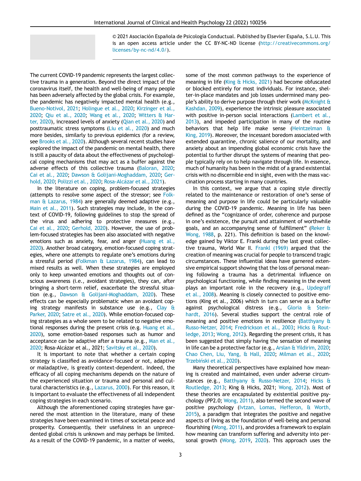© 2021 Asociación Española de Psicología Conductual. Published by Elsevier España, S.L.U. This is an open access article under the CC BY-NC-ND license ([http://creativecommons.org/](http://creativecommons.org/licenses/by-nc-nd/4.0/) [licenses/by-nc-nd/4.0/](http://creativecommons.org/licenses/by-nc-nd/4.0/)).

The current COVID-19 pandemic represents the largest collective trauma in a generation. Beyond the direct impact of the coronavirus itself, the health and well-being of many people has been adversely affected by the global crisis. For example, the pandemic has negatively impacted mental health (e.g., [Bueno-Notivol, 2021](#page-11-0); [Holingue et al., 2020](#page-12-0); [Kirzinger et al.,](#page-12-1) [2020;](#page-12-1) [Qiu et al., 2020;](#page-12-2) [Wang et al., 2020;](#page-13-0) [Witters & Har](#page-13-1)[ter, 2020](#page-13-1)), increased levels of anxiety [\(Qian et al., 2020\)](#page-12-3) and posttraumatic stress symptoms ([Liu et al., 2020](#page-12-4)) and much more besides, similarly to previous epidemics (for a review, see [Brooks et al., 2020](#page-11-1)). Although several recent studies have explored the impact of the pandemic on mental health, there is still a paucity of data about the effectiveness of psychological coping mechanisms that may act as a buffer against the adverse effects of this collective trauma [\(Baloran, 2020](#page-11-2); [Cai et al., 2020;](#page-11-3) [Dawson & Golijani-Moghaddam, 2020;](#page-11-4) [Ger](#page-11-5)[hold, 2020](#page-11-5); [Polizzi et al., 2020;](#page-12-5) Rosa-Alcázar et al., 2021).

In the literature on coping, problem-focused strategies (attempts to resolve some aspect of the stressor; see [Folk](#page-11-6)[man & Lazarus, 1984](#page-11-6)) are generally deemed adaptive (e.g., [Main et al., 2011\)](#page-12-7). Such strategies may include, in the context of COVID-19, following guidelines to stop the spread of the virus and adhering to protective measures (e.g., [Cai et al., 2020](#page-11-3); [Gerhold, 2020](#page-11-5)). However, the use of problem-focused strategies has been also associated with negative emotions such as anxiety, fear, and anger ([Huang et al.,](#page-12-8) [2020\)](#page-12-8). Another broad category, emotion-focused coping strategies, where one attempts to regulate one's emotions during a stressful period ([Folkman & Lazarus, 1984](#page-11-6)), can lead to mixed results as well. When these strategies are employed only to keep unwanted emotions and thoughts out of conscious awareness (i.e., avoidant strategies), they can, after bringing a short-term relief, exacerbate the stressful situation (e.g., [Dawson & Golijani-Moghaddam, 2020](#page-11-4)). These effects can be especially problematic when an avoidant coping strategy manifests in substance use (e.g., [Clay &](#page-11-7) [Parker, 2020;](#page-11-7) [Satre et al., 2020\)](#page-12-9). While emotion-focused coping strategies as a whole seem to be related to negative emotional responses during the present crisis (e.g. [Huang et al.,](#page-12-8) [2020\)](#page-12-8), some emotion-based responses such as humor and acceptance can be adaptive after a trauma (e.g., [Man et al.,](#page-12-10) [2020;](#page-12-10) Rosa-Alcázar et al., 2021; [Savitsky et al., 2020\)](#page-12-11).

It is important to note that whether a certain coping strategy is classified as avoidance-focused or not, adaptive or maladaptive, is greatly context-dependent. Indeed, the efficacy of all coping mechanisms depends on the nature of the experienced situation or trauma and personal and cultural characteristics (e.g., [Lazarus, 2000](#page-12-12)). For this reason, it is important to evaluate the effectiveness of all independent coping strategies in each scenario.

Although the aforementioned coping strategies have garnered the most attention in the literature, many of these strategies have been examined in times of societal peace and prosperity. Consequently, their usefulness in an unprecedented global crisis is unknown and may perhaps be limited. As a result of the COVID-19 pandemic, in a matter of weeks,

some of the most common pathways to the experience of meaning in life [\(King & Hicks, 2021](#page-12-13)) had become obfuscated or blocked entirely for most individuals. For instance, shelter-in-place mandates and job losses undermined many people's ability to derive purpose through their work [\(McKnight &](#page-12-14) [Kashdan, 2009](#page-12-14)), experience the intrinsic pleasure associated with positive in-person social interactions ([Lambert et al.,](#page-12-15) [2013\)](#page-12-15), and impeded participation in many of the routine behaviors that help life make sense [\(Heintzelman &](#page-12-16) [King, 2019\)](#page-12-16). Moreover, the incessant boredom associated with extended quarantine, chronic salience of our mortality, and anxiety about an impending global economic crisis have the potential to further disrupt the systems of meaning that people typically rely on to help navigate through life. In essence, much of humanity has been in the midst of a grand existential crisis with no discernible end in sight, even with the mass vaccination process starting in many countries.

In this context, we argue that a coping style directly related to the maintenance or restoration of one's sense of meaning and purpose in life could be particularly valuable during the COVID-19 pandemic. Meaning in life has been defined as the "cognizance of order, coherence and purpose in one's existence, the pursuit and attainment of worthwhile goals, and an accompanying sense of fulfillment" [\(Reker &](#page-12-17) [Wong, 1988,](#page-12-17) p. 221). This definition is based on the knowledge gained by Viktor E. Frankl during the last great collective trauma, World War II. [Frankl \(1969\)](#page-11-8) argued that the creation of meaning was crucial for people to transcend tragic circumstances. These influential ideas have garnered extensive empirical support showing that the loss of personal meaning following a trauma has a detrimental influence on psychological functioning, while finding meaning in the event plays an important role in the recovery (e.g., [Updegraff](#page-13-2) [et al., 2008](#page-13-2)). Meaning is closely connected to positive emotions (King et al., 2006) which in turn can serve as a buffer against psychological distress (e.g., [Gloria & Stein](#page-11-9)[hardt, 2016](#page-11-9)). Several studies support the central role of meaning and positive emotions in resilience ([Batthyany &](#page-11-10) [Russo-Netzer, 2014](#page-11-10); [Fredrickson et al., 2003](#page-11-11); [Hicks & Rout](#page-12-18)[ledge, 2013;](#page-12-18) [Wong, 2012](#page-13-3)). Regarding the present crisis, it has been suggested that simply having the sensation of meaning in life can be a protective factor (e.g., [Arslan & Yildirim, 2020](#page-11-12); [Chao Chen, Liu, Yang, & Hall, 2020;](#page-11-13) [Milman et al., 2020](#page-12-19); Trzebiński et al., 2020).

Many theoretical perspectives have explained how meaning is created and maintained, even under adverse circumstances (e.g., [Batthyany & Russo-Netzer, 2014;](#page-11-10) [Hicks &](#page-12-18) [Routledge, 2013;](#page-12-18) King & Hicks, 2021; [Wong, 2012](#page-13-3)). Most of these theories are encapsulated by existential positive psychology (PP2.0; [Wong, 2011\)](#page-13-5), also termed the second wave of positive psychology [\(Ivtzan, Lomas, Hefferon, & Worth,](#page-12-20) [2015\)](#page-12-20), a paradigm that integrates the positive and negative aspects of living as the foundation of well-being and personal flourishing [\(Wong, 2011\)](#page-13-5), and provides a framework to explain how meaning can transform suffering and adversity into personal growth [\(Wong, 2019](#page-13-6), [2020\)](#page-13-7). This approach uses the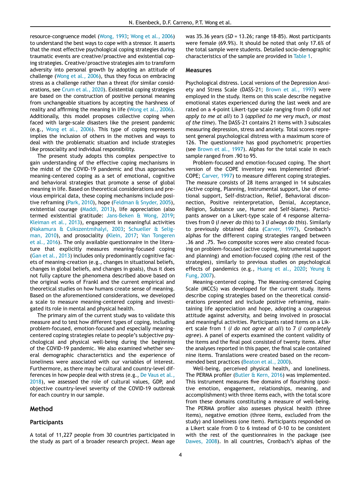resource-congruence model [\(Wong, 1993;](#page-13-8) [Wong et al., 2006](#page-13-9)) to understand the best ways to cope with a stressor. It asserts that the most effective psychological coping strategies during traumatic events are creative/proactive and existential coping strategies. Creative/proactive strategies aim to transform adversity into personal growth by adopting an attitude of challenge [\(Wong et al., 2006\)](#page-13-9), thus they focus on embracing stress as a challenge rather than a threat (for similar considerations, see [Crum et al., 2020](#page-11-14)). Existential coping strategies are based on the construction of positive personal meaning from unchangeable situations by accepting the harshness of reality and affirming the meaning in life [\(Wong et al., 2006](#page-13-9)). Additionally, this model proposes collective coping when faced with large-scale disasters like the present pandemic (e.g., [Wong et al., 2006](#page-13-9)). This type of coping represents implies the inclusion of others in the motives and ways to deal with the problematic situation and include strategies like prosociality and individual responsibility.

The present study adopts this complex perspective to gain understanding of the effective coping mechanisms in the midst of the COVID-19 pandemic and thus approaches meaning-centered coping as a set of emotional, cognitive and behavioral strategies that promote a sense of global meaning in life. Based on theoretical considerations and previous empirical data, these coping mechanisms include positive reframing ([Park, 2010](#page-12-21)), hope [\(Feldman & Snyder, 2005](#page-11-15)), existential courage ([Maddi, 2013\)](#page-12-22), life appreciation (also termed existential gratitude: [Jans-Beken & Wong, 2019](#page-12-23); [Kleiman et al., 2013](#page-12-24)), engagement in meaningful activities ([Nakamura & Csikszentmihalyi, 2003;](#page-12-25) [Schueller & Selig](#page-13-10)[man, 2010](#page-13-10)), and prosociality [\(Klein, 2017](#page-12-26); [Van Tongeren](#page-13-11) [et al., 2016\)](#page-13-11). The only available questionnaire in the literature that explicitly measures meaning-focused coping ([Gan et al., 2013\)](#page-11-16) includes only predominantly cognitive facets of meaning-creation (e.g., changes in situational beliefs, changes in global beliefs, and changes in goals), thus it does not fully capture the phenomena described above based on the original works of Frankl and the current empirical and theoretical studies on how humans create sense of meaning. Based on the aforementioned considerations, we developed a scale to measure meaning-centered coping and investigated its role in mental and physical health.

The primary aim of the current study was to validate this measure and to test how different types of coping, including problem-focused, emotion-focused and especially meaningcentered coping strategies relate to people's subjective psychological and physical well-being during the beginning of the COVID-19 pandemic. We also examined whether several demographic characteristics and the experience of loneliness were associated with our variables of interest. Furthermore, as there may be cultural and country-level differences in how people deal with stress (e.g., [De Vaus et al.,](#page-11-17) [2018](#page-11-17)), we assessed the role of cultural values, GDP, and objective country-level severity of the COVID-19 outbreak for each country in our sample.

## Method

## **Participants**

A total of 11,227 people from 30 countries participated in the study as part of a broader research project. Mean age was  $35.36$  years ( $SD = 13.26$ ; range  $18-85$ ). Most participants were female (69.9%). It should be noted that only 17.6% of the total sample were students. Detailed socio-demographic characteristics of the sample are provided in [Table 1.](#page-4-0)

#### Measures

Psychological distress. Local versions of the Depression Anxiety and Stress Scale (DASS-21; [Brown et al., 1997](#page-11-18)) were employed in the study. Items on this scale describe negative emotional states experienced during the last week and are rated on a 4-point Likert-type scale ranging from 0 (did not apply to me at all) to 3 (applied to me very much, or most of the time). The DASS-21 contains 21 items with 3 subscales measuring depression, stress and anxiety. Total scores represent general psychological distress with a maximum score of 126. The questionnaire has good psychometric properties (see [Brown et al., 1997](#page-11-18)). Alphas for the total scale in each sample ranged from .90 to 95.

Problem-focused and emotion-focused coping. The short version of the COPE inventory was implemented (Brief-COPE; [Carver, 1997](#page-11-19)) to measure different coping strategies. The measure consists of 28 items arranged in 14 subscales (Active coping, Planning, Instrumental support, Use of emotional support, Self-distraction, Relief, Behavioral disconnection, Positive reinterpretation, Denial, Acceptance, Religion, Substance use, Humor and Self-blame). Participants answer on a Likert-type scale of 4 response alternatives from 0 (I never do this) to 3 (I always do this). Similarly to previously obtained data [\(Carver, 1997](#page-11-19)), Cronbach's alphas for the different coping strategies ranged between .36 and .75. Two composite scores were also created focusing on problem-focused (active coping, instrumental support and planning) and emotion-focused coping (the rest of the strategies), similarly to previous studies on psychological effects of pandemics (e.g., [Huang et al., 2020](#page-12-8); [Yeung &](#page-13-12) [Fung, 2007\)](#page-13-12).

Meaning-centered coping. The Meaning-centered Coping Scale (MCCS) was developed for the current study. Items describe coping strategies based on the theoretical considerations presented and include positive reframing, maintaining life appreciation and hope, adopting a courageous attitude against adversity, and being involved in prosocial and meaningful activities. Participants rated items on a Likert scale from 1 (I do not agree at all) to 7 (I completely agree). A panel of experts examined the content validity of the items and the final pool consisted of twenty items. After the analyses reported in this paper, the final scale contained nine items. Translations were created based on the recommended best practices [\(Beaton et al., 2000\)](#page-11-20).

Well-being, perceived physical health, and loneliness. The PERMA profiler [\(Butler & Kern, 2016](#page-11-21)) was implemented. This instrument measures five domains of flourishing (positive emotion, engagement, relationships, meaning, and accomplishment) with three items each, with the total score from these domains constituting a measure of well-being. The PERMA profiler also assesses physical health (three items), negative emotion (three items, excluded from the study) and loneliness (one item). Participants responded on a Likert scale from 0 to 6 instead of 0-10 to be consistent with the rest of the questionnaires in the package (see [Dawes, 2008](#page-11-22)). In all countries, Cronbach's alphas of the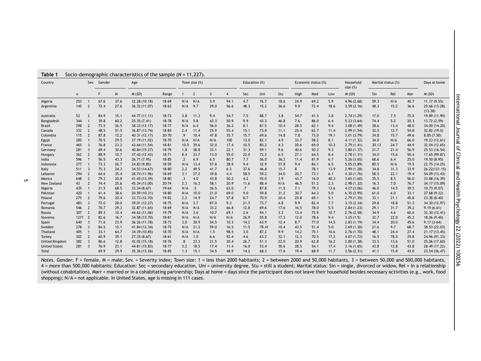<span id="page-4-0"></span>

| rabie:                |              |                          |        |      | SOCIO-Gernographic characteristics of the sample $(n = 11, 227)$ . |           |             |                |                |                |               |       |      |      |                     |      |                          |       |                    |      |               |
|-----------------------|--------------|--------------------------|--------|------|--------------------------------------------------------------------|-----------|-------------|----------------|----------------|----------------|---------------|-------|------|------|---------------------|------|--------------------------|-------|--------------------|------|---------------|
| Country               |              | Sev.                     | Gender |      | Age                                                                |           |             | Town size (%)  |                |                | Education (%) |       |      |      | Economic status (%) |      | Household<br>size $(\%)$ |       | Marital status (%) |      | Days at home  |
|                       | $\mathsf{n}$ |                          | F      | W    | M(SD)                                                              | Range     |             | $\overline{2}$ | $\overline{3}$ | $\overline{4}$ | Sec           | Uni   | Stu  | High | Med                 | Low  | M(SD)                    | Sin   | Rel                | Mar  | M(SD)         |
| Algeria               | 253          |                          | 67.6   | 37.6 | 32.28 (10.18)                                                      | $18-69$   | $N/A$ $N/A$ |                | 5.9            | 94.1           | 4.7           | 76.7  | 18.6 | 24.9 | 69.2                | 5.9  | 4.96(2.68)               | 59.3  | N/A                | 40.7 | 11.17 (9.55)  |
| Argentina             | 145          |                          | 72.4   | 27.6 | 36.32 (11.07)                                                      | $18-63$   | $N/A$ 9.7   |                | 29.0           | 56.6           | 48.3          | 15.2  | 36.6 | 9.0  | 72.4                | 18.6 | 3.59(2.16)               | 48.3  | 15.2               | 36.6 | 29.66 (13.28) |
|                       |              |                          |        |      |                                                                    |           |             |                |                |                |               |       |      |      |                     |      |                          |       |                    |      | (13.38)       |
| Australia             | 53           | 2                        | 84.9   | 15.1 | 44.77 (11.11)                                                      | $18 - 73$ | 3.8         | 11.3           | 9.4            | 54.7           | 7.5           | 88.7  | 3.8  | 54.7 | 41.5                | 3.8  | 2.74(1.29)               | 17.0  | 7.5                | 75.5 | 19.89 (11.90) |
| Bangladesh            | 344          |                          | 39.8   | 60.2 | 25.35 (7.41)                                                       | 18-78     | N/A         | 5.8            | 43.3           | 50.9           | 9.9           | 43.3  | 46.8 | 7.6  | 86.0                | 6.4  | 5.23(3.64)               | 74.4  | 5.2                | 20.3 | 13.72 (2.59)  |
| Brazil                | 298          | $\overline{2}$           | 73.5   | 26.5 | 38.33 (13.17)                                                      | $18 - 77$ | N/A         | 6.4            | 56.0           | 36.2           | 8.1           | 81.5  | 10.4 | 28.5 | 62.1                | 9.4  | 3.08(1.49)               | 38.6  | 13.4               | 48.0 | 34.00 (14.20) |
| Canada                | 332          | $\overline{2}$           | 48.5   | 51.5 | 36.87 (13.74)                                                      | 18-84     | 2.4         | 11.4           | 25.9           | 55.4           | 15.1          | 73.8  | 11.1 | 25.4 | 62.7                | 11.4 | 2.99(1.54)               | 32.5  | 12.7               | 54.8 | 32.82 (19.0)  |
| Colombia              | 115          | $\overline{2}$           | 87.8   | 12.2 | 40.31 (12.17)                                                      | 20-70     | .9          | 10.4           | 47.8           | 35.7           | 15.7          | 69.6  | 14.8 | 7.8  | 73.0                | 19.1 | 3.01(3.79)               | 34.8  | 15.7               | 49.6 | 8.85(7.50)    |
| Egypt                 | 285          |                          | 70.5   | 29.5 | 37.19 (11.02)                                                      | 18-70     | N/A         | N/A            | N/A            | 100            | 13.0          | 82.1  | 4.9  | 33.7 | 58.2                | 8.1  | 4.11(1.32)               | 34.0  | N/A                | 66.0 | 19.23 (12.61) |
| France                | 465          | 3                        | 76.8   | 23.2 | 43.64 (11.54)                                                      | $18 - 81$ | 10.5        | 39.6           | 32.0           | 17.4           | 10.5          | 85.2  | 4.3  | 20.6 | 69.0                | 10.3 | 2.79(1.41)               | 30.13 | 24.7               | 44.9 | 32.04 (12.65) |
| Germany               | 281          | 3                        | 69.4   | 30.6 | 40.84 (15.27)                                                      | 18-79     | 1.8         | 38.8           | 33.1           | 22.1           | 31.3          | 59.1  | 9.6  | 40.6 | 50.2                | 9.3  | 3.80(1.37)               | 21.7  | 21.4               | 56.9 | 25.53 (16.54) |
| Hungary               | 262          | $\overline{\phantom{a}}$ | 88.9   | 10.7 | 37.42 (12.43)                                                      | $18 - 71$ | 8.4         | 23.7           | 13.0           | 55.0           | 22.0          | 72.5  | 6.5  | 27.1 | 64.5                | 8.4  | 2.78(1.31)               | 34.0  | 15.6               | 50.4 | 17.65 (99.87) |
| India                 | 596          |                          | 56.5   | 43.3 | 26.71 (7.95)                                                       | $18 - 85$ | $\cdot$     | 6.9            | 6.5            | 80.7           | 7.7           | 56.0  | 36.2 | 11.4 | 81.9                | 6.7  | 5.26(3.65)               | 68.6  | 6.4                | 25.0 | 19.50 (8.95)  |
| Indonesia             | 277          |                          | 73.3   | 26.7 | 24.83 (9.85)                                                       | $18 - 59$ | N/A         | 13.4           | 57.8           | 28.9           | 9.4           | 32.9  | 57.8 | 9.4  | 84.1                | 6.5  | 5.05(3.89)               | 80.5  | N/A                | 19.5 | 22.75 (14.25) |
| Italy                 | 511          | 3                        | 75.3   | 24.3 | 34.53 (14.67)                                                      | $18 - 80$ | 2.2         | 49.5           | 41.7           | 6.3            | 37.6          | 46.8  | 15.7 | 8    | 78.1                | 13.9 | 2.99(1.28)               | 34.8  | 31.3               | 33.9 | 26.22(121.15) |
| Lebanon               | 294          | $\overline{2}$           | 64.6   | 35.4 | 28.74 (11.96)                                                      | $18-69$   | 3.1         | 27.2           | 39.8           | 4.4            | 58.5          | 59.2  | 34.0 | 20.7 | 73.1                | 6.1  | 4.30(1.76)               | 58.5  | 22.1               | 19.4 | 54.09 (13.43) |
| Mexico                | 648          | $\overline{2}$           | 79.2   | 20.8 | 41.45 (13.39)                                                      | 18-80     | $\cdot$ 3   | 4.0            | 43.8           | 50.2           | 4.2           | 92.0  | 3.9  | 43.7 | 16.0                | 40.3 | 3.65(1.60)               | 35.5  | 8.5                | 56.0 | 33.88 (16.39) |
| New Zealand           | 43           | $\overline{2}$           | 74.4   | 25.6 | 45.34 (13.00)                                                      | $20 - 74$ | 2.3         | 16.3           | 58.1           | 20.9           | 11.6          | 88.4  | N/A  | 46.5 | 51.2                | 2.3  | 2.98(1.32)               | 16.3  | 7.0                | 76.7 | 34.17 (15.09) |
| Nigeria               | 435          |                          | 31.5   | 68.5 | 33.34 (8.67)                                                       | $19-64$   | N/A         | .5             | 36.5           | 63.0           | .7            | 87.8  | 11.5 | 7.1  | 79.3                | 13.6 | 4.27(3.06)               | 46.0  | 14.5               | 39.5 | 10.73 (9.07)  |
| Pakistan              | 420          |                          | 61.4   | 38.6 | 20.59 (10.31)                                                      | $18 - 80$ | N/A         | 10.0           | 21.0           | 69.0           | 9.0           | 59.8  | 31.2 | 30.7 | 64.3                | 5.0  | 6.35(2.95)               | 61.0  | 6.0                | 33.1 | 27.68 (9.22)  |
| Poland                | 275          | $\overline{2}$           | 79.6   | 20.4 | 33.73 (12.70)                                                      | $19 - 82$ | 2.2         | 14.9           | 24.7           | 57.8           | 8.7           | 70.9  | 20.4 | 25.8 | 69.1                | 5.1  | 2.79(1.35)               | 33.1  | 21.1               | 45.8 | 23.38 (8.40)  |
| Portugal              | 483          | 3                        | 72.0   | 28.0 | 39.01 (12.27)                                                      | $18 - 75$ | N/A         | 3.7            | 87.0           | 9.3            | 21.5          | 73.7  | 4.8  | 9.9  | 82.4                | 7.7  | 3.15(2.34)               | 29.8  | 18.8               | 51.3 | 34.30 (12.97) |
| Romania               | 546          | $\overline{2}$           | 70.7   | 29.3 | 32.87 (11.65)                                                      | $18-69$   | N/A         | N/A            | 33.2           | 66.8           | 12.8          | 69.6  | 17.6 | 16.5 | 78.0                | 5.5  | 2.84(1.23)               | 29.1  | 31.7               | 39.2 | 9.19(6.61)    |
| <b>Russia</b>         | 307          | $\overline{2}$           | 89.3   | 10.4 | 44.62 (11.06)                                                      | 19-79     | N/A         | 3.6            | 10.7           | 69.1           | 2.6           | 94.1  | 3.3  | 13.4 | 75.9                | 10.7 | 2.76(2.58)               | 34.9  | 4.6                | 60.6 | 32.30 (12.41) |
| Slovenia              | 1271         | $\overline{2}$           | 82.6   | 16.7 | 34.58 (13.70)                                                      | $18 - 81$ | N/A         | N/A            | N/A            | N/A            | 26.9          | 55.8  | 17.3 | 12.0 | 78.6                | 9.4  | 3.25(1.5)                | 32.7  | 22.0               | 45.3 | 18.06 (9.40)  |
| Spain                 | 640          | 3                        | 71.6   | 23.9 | 36.26 (11.78)                                                      | $18 - 73$ | 3.0         | 30.9           | 54.5           | 10.3           | 14.2          | 63.9  | 12.4 | 8.7  | 77.0                | 14.5 | 2.83(1.19)               | 34.4  | 20.0               | 45.6 | $9.17(3-64)$  |
| Sweden                | 278          | 3                        | 84.5   | 15.1 | 41.84 (12.34)                                                      | $18 - 75$ | N/A         | 21.2           | 59.0           | 16.5           | 11.5          | 78.41 | 10.4 | 43.5 | 51.4                | 5.0  | 2.69(1.30)               | 21.6  | 9.7                | 68.7 | 38.53 (22.03) |
| Thailand              | 405          |                          | 33.1   | 64.7 | 34.39 (10.85)                                                      | 18-70     | N/A         | N/A            | 1.5            | 98.5           | 3.0           | 87.2  | 9.9  | 14.2 | 75.1                | 10.6 | 2.76(1.70)               | 48.1  | 24.4               | 27.4 | 21.17 (13.45) |
| Turkey                | 302          | $\overline{2}$           | 60.9   | 39.1 | 27.35(8.67)                                                        | $18 - 61$ | N/A         | 1.0            | 6.6            | 92.4           | 4.6           | 63.2  | 32.1 | 12.3 | 70.5                | 17.2 | 4.07(1.72)               | 16.5  | 78.0               | 29.8 | 24.96 (91.33) |
| <b>United Kingdom</b> | 382          |                          | 86.6   | 12.8 | 42.02 (15.18)                                                      | $18-76$   | .8          | 23.3           | 21.5           | 20.4           | 26.7          | 51.3  | 22.0 | 20.9 | 62.8                | 16.2 | 2.80(1.38)               | 33.5  | 13.6               | 51.0 | 25.06 (17.60) |
| <b>United States</b>  | 281          |                          | 76.9   | 23.1 | 44.81 (15.83)                                                      | 18-77     | 3.2         | 18.5           | 17.4           | 11.4           | 16.0          | 53.4  | 30.6 | 28.5 | 54.1                | 17.4 | 3.16(1.65)               | 43.8  | 12.8               | 43.8 | 28.49 (17.22) |
| Total                 |              |                          | 69.9   | 29.9 | 35.36 (13.26)                                                      | $18 - 85$ | 1.3         | 15.1           | 34.5           | 48.9           | 14.2          | 68.3  | 17.6 | 19.4 | 68.9                | 11.7 | 3.56(2.31)               | 41.1  | 15.8               | 43.0 | 23.54 (36.47) |
|                       |              |                          |        |      |                                                                    |           |             |                |                |                |               |       |      |      |                     |      |                          |       |                    |      |               |

**Table 1** Socio-demographic characteristics of the sample  $(N = 11,227)$ .

Notes. Gender: F = female, M = male; Sev. = Severity index; Town size: 1 = less than 2000 habitants; 2 = between 2000 and 50,000 habitants, 3 = between 50,000 and 500,000 habitants, 4 <sup>=</sup> more than 500,000 habitants; Education: Sec <sup>=</sup> secondary education, Uni <sup>=</sup> university degree, Stu <sup>=</sup> still <sup>a</sup> student; Marital status: Sin <sup>=</sup> single, divorced or widow, Rel <sup>=</sup> In <sup>a</sup> relationship (without cohabitation), Marr <sup>=</sup> married or in <sup>a</sup> cohabitating partnership; Days at home <sup>=</sup> days since the participant does not leave their household besides necessary activities (e.g., work, food shopping); N/A <sup>=</sup> not applicable. In United States, age is missing in 111 cases.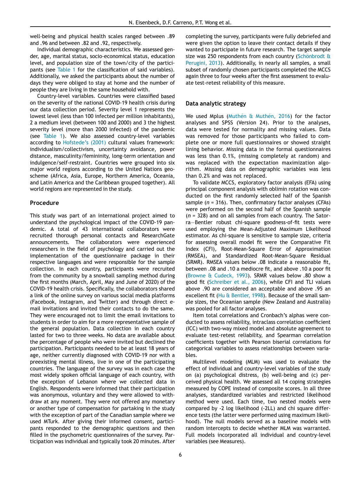well-being and physical health scales ranged between .89 and .96 and between .82 and .92, respectively.

Individual demographic characteristics. We assessed gender, age, marital status, socio-economical status, education level, and population size of the town/city of the partici-pants (see [Table 1](#page-4-0) for the classification of said variables). Additionally, we asked the participants about the number of days they were obliged to stay at home and the number of people they are living in the same household with.

Country-level variables. Countries were classified based on the severity of the national COVID-19 health crisis during our data collection period. Severity level 1 represents the lowest level (less than 100 infected per million inhabitants), 2 a medium level (between 100 and 2000) and 3 the highest severity level (more than 2000 infected) of the pandemic (see [Table 1\)](#page-4-0). We also assessed country-level variables according to [Hofstede](#page-12-27)'s (2001) cultural values framework: individualism/collectivism, uncertainty avoidance, power distance, masculinity/femininity, long-term orientation and indulgence/self-restraint. Countries were grouped into six major world regions according to the United Nations geoscheme (Africa, Asia, Europe, Northern America, Oceania, and Latin America and the Caribbean grouped together). All world regions are represented in the study.

## Procedure

This study was part of an international project aimed to understand the psychological impact of the COVID-19 pandemic. A total of 43 international collaborators were recruited thorough personal contacts and ResearchGate announcements. The collaborators were experienced researchers in the field of psychology and carried out the implementation of the questionnaire package in their respective languages and were responsible for the sample collection. In each country, participants were recruited from the community by a snowball sampling method during the first months (March, April, May and June of 2020) of the COVID-19 health crisis. Specifically, the collaborators shared a link of the online survey on various social media platforms (Facebook, Instagram, and Twitter) and through direct email invitations and invited their contacts to do the same. They were encouraged not to limit the email invitations to students in order to aim for a more representative sample of the general population. Data collection in each country lasted for two to three weeks. No data are available about the percentage of people who were invited but declined the participation. Participants needed to be at least 18 years of age, neither currently diagnosed with COVID-19 nor with a preexisting mental illness, live in one of the participating countries. The language of the survey was in each case the most widely spoken official language of each country, with the exception of Lebanon where we collected data in English. Respondents were informed that their participation was anonymous, voluntary and they were allowed to withdraw at any moment. They were not offered any monetary or another type of compensation for partaking in the study with the exception of part of the Canadian sample where we used MTurk. After giving their informed consent, participants responded to the demographic questions and then filled in the psychometric questionnaires of the survey. Participation was individual and typically took 20 minutes. After completing the survey, participants were fully debriefed and were given the option to leave their contact details if they wanted to participate in future research. The target sample size was 250 respondents from each country ([Sch](#page-13-13)önbrodt  $\theta$ ) [Perugini, 2013\)](#page-13-13). Additionally, in nearly all samples, a small subset of randomly chosen participants completed the MCCS again three to four weeks after the first assessment to evaluate test-retest reliability of this measure.

## Data analytic strategy

We used Mplus ([Muth](#page-12-28)é[n & Muth](#page-12-28)én, 2016) for the factor analyses and SPSS (Version 24). Prior to the analyses, data were tested for normality and missing values. Data was removed for those participants who failed to complete one or more full questionnaires or showed straight lining behavior. Missing data in the formal questionnaires was less than 0.1%, (missing completely at random) and was replaced with the expectation maximization algorithm. Missing data on demographic variables was less than 0.2% and was not replaced.

To validate MCCS, exploratory factor analysis (EFA) using principal component analysis with oblimin rotation was conducted on the first randomly selected half of the Spanish sample  $(n = 316)$ . Then, confirmatory factor analyses (CFAs) were performed on the second half of the Spanish sample  $(n = 328)$  and on all samples from each country. The Satorra-Bentler robust chi-square goodness-of-fit tests were used employing the Mean-Adjusted Maximum Likelihood estimator. As chi-square is sensitive to sample size, criteria for assessing overall model fit were the Comparative Fit Index (CFI), Root-Mean-Square Error of Approximation (RMSEA), and Standardized Root-Mean-Square Residual (SRMR). RMSEA values below .08 indicate a reasonable fit, between .08 and .10 a mediocre fit, and above .10 a poor fit ([Browne & Cudeck, 1993\)](#page-11-23). SRMR values below .80 show a good fit [\(Schreiber et al., 2006\)](#page-13-14), while CFI and TLI values above .90 are considered an acceptable and above .95 an excellent fit [\(Hu & Bentler, 1998](#page-12-29)). Because of the small sample sizes, the Oceanian sample (New Zealand and Australia) was pooled for all factor analyses.

Item total correlations and Cronbach's alphas were conducted to assess reliability, intraclass correlation coefficient (ICC) with two-way mixed model and absolute agreement to evaluate test-retest reliability, and Spearman correlation coefficients together with Pearson biserial correlations for categorical variables to assess relationships between variables.

Multilevel modeling (MLM) was used to evaluate the effect of individual and country-level variables of the study on (a) psychological distress, (b) well-being and (c) perceived physical health. We assessed all 14 coping strategies measured by COPE instead of composite scores. In all three analyses, standardized variables and restricted likelihood method were used. Each time, two nested models were compared by -2 log likelihood (-2LL) and chi square difference tests (the latter were performed using maximum likelihood). The null models served as a baseline models with random intercepts to decide whether MLM was warranted. Full models incorporated all individual and country-level variables (see Measures).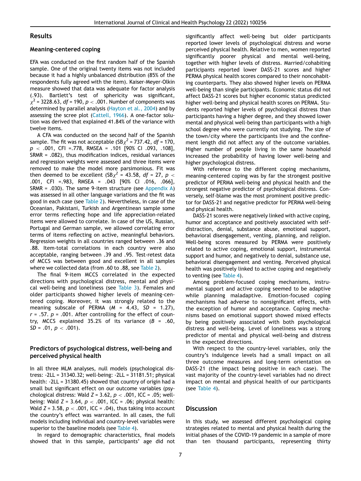## Results

### Meaning-centered coping

EFA was conducted on the first random half of the Spanish sample. One of the original twenty items was not included because it had a highly unbalanced distribution (85% of the respondents fully agreed with the item). Kaiser-Meyer-Olkin measure showed that data was adequate for factor analysis (.93). Bartlett's test of sphericity was significant,  $x^{2}$  = 3228.63, df = 190, p < .001. Number of components was determined by parallel analysis ([Hayton et al., 2004](#page-11-24)) and by assessing the scree plot ([Cattell, 1966](#page-11-25)). A one-factor solution was derived that explained 41.84% of the variance with twelve items.

A CFA was conducted on the second half of the Spanish sample. The fit was not acceptable (SB $\chi^2$  = 737.42, df = 170,  $p \sim .001$ , CFI = 778, RMSEA = .101 [90% CI .093, .108], SRMR = .082), thus modification indices, residual variances and regression weights were assessed and three items were removed to make the model more parsimonious. Fit was then deemed to be excellent  $(SBx^2 = 43.58, df = 27, p <$ .001, CFI =.983, RMSEA = .043 [90% CI .016, .066], SRMR =  $.030$ ). The same 9-item structure (see [Appendix A](#page-10-0)) was assessed in all other language variations and the fit was good in each case (see [Table 2](#page-7-0)). Nevertheless, in case of the Oceanian, Pakistani, Turkish and Argentinean sample some error terms reflecting hope and life appreciation-related items were allowed to correlate. In case of the US, Russian, Portugal and German sample, we allowed correlating error terms of items reflecting on active, meaningful behaviors. Regression weights in all countries ranged between .36 and .88. Item-total correlations in each country were also acceptable, ranging between .39 and .95. Test-retest data of MCCS was between good and excellent in all samples where we collected data (from .60 to .88, see [Table 2](#page-7-0)).

The final 9-item MCCS correlated in the expected directions with psychological distress, mental and physical well-being and loneliness (see [Table 3](#page-8-0)). Females and older participants showed higher levels of meaning-centered coping. Moreover, it was strongly related to the meaning subscale of PERMA  $(M = 4.43, SD = 1.27)$ ,  $r = .57$ .  $p = .001$ . After controlling for the effect of country, MCCS explained 35.2% of its variance  $(B = .60, )$  $SD = .01, p < .001$ .

## Predictors of psychological distress, well-being and perceived physical health

In all three MLM analyses, null models (psychological distress: -2LL = 31340.32; well-being: -2LL = 31181.51; physical health: -2LL = 31380.45) showed that country of origin had a small but significant effect on our outcome variables (psychological distress: Wald  $Z = 3.62$ ,  $p < .001$ , ICC = .05; wellbeing: Wald  $Z = 3.64$ ,  $p < .001$ , ICC = .06; physical health: Wald  $Z = 3.58$ ,  $p < .001$ , ICC = .04), thus taking into account the country's effect was warranted. In all cases, the full models including individual and country-level variables were superior to the baseline models (see [Table 4](#page-9-0)).

In regard to demographic characteristics, final models showed that in this sample, participants' age did not significantly affect well-being but older participants reported lower levels of psychological distress and worse perceived physical health. Relative to men, women reported significantly poorer physical and mental well-being, together with higher levels of distress. Married/cohabiting participants reported lower DASS-21 scores and higher PERMA physical health scores compared to their noncohabiting counterparts. They also showed higher levels on PERMA well-being than single participants. Economic status did not affect DASS-21 scores but higher economic status predicted higher well-being and physical health scores on PERMA. Students reported higher levels of psychological distress than participants having a higher degree, and they showed lower mental and physical well-being than participants with a high school degree who were currently not studying. The size of the town/city where the participants live and the confinement length did not affect any of the outcome variables. Higher number of people living in the same household increased the probability of having lower well-being and higher psychological distress.

With reference to the different coping mechanisms, meaning-centered coping was by far the strongest positive predictor of PERMA well-being and physical health and the strongest negative predictor of psychological distress. Conversely, self-blame was the most prominent positive predictor for DASS-21 and negative predictor for PERMA well-being and physical health.

DASS-21 scores were negatively linked with active coping, humor and acceptance and positively associated with selfdistraction, denial, substance abuse, emotional support, behavioral disengagement, venting, planning, and religion. Well-being scores measured by PERMA were positively related to active coping, emotional support, instrumental support and humor, and negatively to denial, substance use, behavioral disengagement and venting. Perceived physical health was positively linked to active coping and negatively to venting (see [Table 4](#page-9-0)).

Among problem-focused coping mechanisms, instrumental support and active coping seemed to be adaptive while planning maladaptive. Emotion-focused coping mechanisms had adverse to nonsignificant effects, with the exception of humor and acceptance. Coping mechanisms based on emotional support showed mixed effects by being positively associated with both psychological distress and well-being. Level of loneliness was a strong predictor of mental and physical well-being and distress in the expected directions.

With respect to the country-level variables, only the country's indulgence levels had a small impact on all three outcome measures and long-term orientation on DASS-21 (the impact being positive in each case). The vast majority of the country-level variables had no direct impact on mental and physical health of our participants (see [Table 4](#page-9-0)).

## **Discussion**

In this study, we assessed different psychological coping strategies related to mental and physical health during the initial phases of the COVID-19 pandemic in a sample of more than ten thousand participants, representing thirty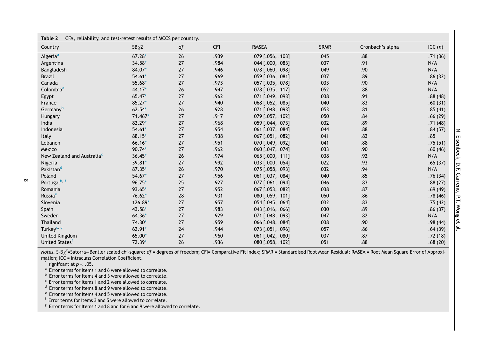<span id="page-7-7"></span><span id="page-7-6"></span><span id="page-7-5"></span><span id="page-7-4"></span><span id="page-7-3"></span><span id="page-7-2"></span><span id="page-7-1"></span><span id="page-7-0"></span>

| CFA, reliability, and test-retest results of MCCS per country.<br>Table 2 |           |    |            |                       |             |                  |           |
|---------------------------------------------------------------------------|-----------|----|------------|-----------------------|-------------|------------------|-----------|
| Country                                                                   | $SB_{X}2$ | df | <b>CFI</b> | <b>RMSEA</b>          | <b>SRMR</b> | Cronbach's alpha | ICC $(n)$ |
| Algeria <sup>a</sup>                                                      | $67.28*$  | 26 | .939       | .079 [.056, .103]     | .045        | .88              | .71(36)   |
| Argentina                                                                 | 34.58*    | 27 | .984       | .044 [.000, .083]     | .037        | .91              | N/A       |
| Bangladesh                                                                | 84.07*    | 27 | .946       | .078 [.060, .098]     | .049        | .90              | N/A       |
| <b>Brazil</b>                                                             | $54.61*$  | 27 | .969       | .059 [.036, .081]     | .037        | .89              | .86(32)   |
| Canada                                                                    | 55.68*    | 27 | .973       | .057 [.035, .078]     | .033        | .90              | N/A       |
| Colombia <sup>a</sup>                                                     | $44.17*$  | 26 | .947       | .078 [.035, .117]     | .052        | .88              | N/A       |
| Egypt                                                                     | 65.47*    | 27 | .962       | .071 [.049, .093]     | .038        | .91              | .88(48)   |
| France                                                                    | $85.27*$  | 27 | .940       | $.068$ [.052, .085]   | .040        | .83              | .60(31)   |
| Germany <sup>b</sup>                                                      | $62.54*$  | 26 | .928       | .071 [.048, .093]     | .053        | .81              | .85(41)   |
| Hungary                                                                   | 71.467*   | 27 | .917       | .079 [.057, .102]     | .050        | .84              | .66(29)   |
| India                                                                     | 82.29*    | 27 | .968       | .059 [.044, .073]     | .032        | .89              | .71(48)   |
| Indonesia                                                                 | $54.61*$  | 27 | .954       | .061 [.037, .084]     | .044        | .88              | .84(57)   |
| Italy                                                                     | 88.15*    | 27 | .938       | .067 [.051, .082]     | .041        | .83              | .85       |
| Lebanon                                                                   | $66.16*$  | 27 | .951       | .070 [.049, .092]     | .041        | .88              | .75(51)   |
| Mexico                                                                    | 90.74*    | 27 | .962       | .060 [.047, .074]     | .033        | .90              | .60(46)   |
| New Zealand and Australia <sup>c</sup>                                    | $36.45*$  | 26 | .974       | $.065$ [.000, .111]   | .038        | .92              | N/A       |
| Nigeria                                                                   | 39.81*    | 27 | .992       | $.033$ [.000, .054]   | .022        | .93              | .65(37)   |
| Pakistan <sup>d</sup>                                                     | 87.35*    | 26 | .970       | .075 [.058, .093]     | .032        | .94              | N/A       |
| Poland                                                                    | $54.67*$  | 27 | .956       | .061 [.037, .084]     | .040        | .85              | .76(34)   |
| Portugal <sup>b, f</sup>                                                  | 96.75*    | 25 | .927       | .077 [.061, .094]     | .046        | .83              | .88(27)   |
| Romania                                                                   | 93.65*    | 27 | .952       | $.067$ [.053, .082]   | .038        | .87              | .69(49)   |
| Russia <sup>e</sup>                                                       | $76.62*$  | 28 | .931       | $.080$ $[.059, .101]$ | .050        | .86              | .78(46)   |
| Slovenia                                                                  | 126.89*   | 27 | .957       | $.054$ $[.045, .064]$ | .032        | .83              | .75(42)   |
| Spain                                                                     | 43.58*    | 27 | .983       | $.043$ [.016, .066]   | .030        | .89              | .86(37)   |
| Sweden                                                                    | $64.36*$  | 27 | .929       | .071 [.048, .093]     | .047        | .82              | N/A       |
| Thailand                                                                  | 74.30*    | 27 | .959       | .066 [.048, .084]     | .038        | .90              | .98(44)   |
| Turkey <sup>c, g</sup>                                                    | 62.91*    | 24 | .944       | .073 [.051, .096]     | .057        | .86              | .64(39)   |
| <b>United Kingdom</b>                                                     | 65.00*    | 27 | .960       | .061 [.042, .080]     | .037        | .87              | .72(18)   |
| United States <sup>f</sup>                                                | 72.39*    | 26 | .936       | $.080$ [.058, .102]   | .051        | .88              | .68(20)   |

Notes. S-B<sub>X</sub><sup>2</sup>=Satorra—Bentler scaled chi-square; df = degrees of freedom; CFI= Comparative Fit Index; SRMR = Standardised Root Mean Residual; RMSEA = Root Mean Square Error of Approximation; ICC <sup>=</sup> Intraclass Correlation Coefficient.

 $\check{\phantom{a}}$  signifcant at  $p < .05.$ 

<sup>a</sup> Error terms for Items 1 and 6 were allowed to correlate.

<sup>b</sup> Error terms for Items 4 and 3 were allowed to correlate.

c Error terms for Items 1 and 2 were allowed to correlate.

<sup>d</sup> Error terms for Items 8 and 9 were allowed to correlate.

<sup>e</sup> Error terms for Items 4 and 5 were allowed to correlate.

f Error terms for Items 3 and 5 were allowed to correlate.

 $\frac{g}{s}$  Frror terms for Items 1 and 8 and for 6 and 9 were allowed to correlate.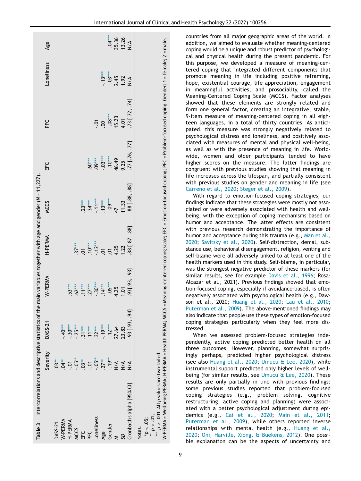<span id="page-8-1"></span><span id="page-8-0"></span>

| Table 3 Intercorrelations and descriptive statistics of the                                                                                        |                                                                                                     |                                             |                                  | main variables together with age and gender (N = 11,227). |                          |                                                                                                                          |                   |                                  |                                     |
|----------------------------------------------------------------------------------------------------------------------------------------------------|-----------------------------------------------------------------------------------------------------|---------------------------------------------|----------------------------------|-----------------------------------------------------------|--------------------------|--------------------------------------------------------------------------------------------------------------------------|-------------------|----------------------------------|-------------------------------------|
|                                                                                                                                                    | Severity                                                                                            | <b>DASS-21</b>                              | W-PERMA                          | H-PERMA                                                   | <b>MCCS</b>              | し<br>出                                                                                                                   | ں<br>ط            | Loneliness                       | Age                                 |
| DASS-21                                                                                                                                            | $03**$                                                                                              |                                             |                                  |                                                           |                          |                                                                                                                          |                   |                                  |                                     |
| W-PERMA                                                                                                                                            |                                                                                                     | $-40***$                                    |                                  |                                                           |                          |                                                                                                                          |                   |                                  |                                     |
| H-PERMA                                                                                                                                            | $3^{**}$<br>$-3^{**}$<br>$-3^{**}$<br>$-3^{**}$<br>$-3^{**}$<br>$-3^{**}$<br>$-3^{**}$<br>$-3^{**}$ | $-30***$                                    | 53***                            |                                                           |                          |                                                                                                                          |                   |                                  |                                     |
| <b>MCCS</b>                                                                                                                                        |                                                                                                     | $-.25***$                                   |                                  | $.37***$                                                  |                          |                                                                                                                          |                   |                                  |                                     |
| EFC                                                                                                                                                |                                                                                                     |                                             | $.62***$<br>$.11***$<br>$.27***$ | $\overline{0}$                                            | $23***$                  |                                                                                                                          |                   |                                  |                                     |
| PFC                                                                                                                                                |                                                                                                     | $31***$<br>$.11***$<br>$.32***$<br>$.19***$ |                                  | $.10***$                                                  | $34***$                  | $60***$                                                                                                                  |                   |                                  |                                     |
| Loneliness                                                                                                                                         |                                                                                                     |                                             | $-30***$                         | $-12***$                                                  | $-11***$                 | $09***$                                                                                                                  | ō                 |                                  |                                     |
| Age                                                                                                                                                |                                                                                                     |                                             |                                  | $\overline{c}$                                            | $.13***$                 | $-.03***$                                                                                                                | $\overline{S}$    | $-13***$                         |                                     |
| Gender                                                                                                                                             |                                                                                                     | $-12***$<br>27.64                           | $-05***$                         | 5                                                         | $\frac{L_{\rm F}}{4.44}$ | $-10***$                                                                                                                 |                   |                                  |                                     |
|                                                                                                                                                    | $\frac{4}{2}$                                                                                       |                                             | 4.25                             | 4.25                                                      |                          | 46.49                                                                                                                    | $-08***$<br>15.23 | $-03***$<br>2.45<br>1.92<br>1.92 | $-04***$<br>35.36<br>13.26<br>13.26 |
| SQ                                                                                                                                                 | $\frac{4}{2}$                                                                                       | 23.83                                       | 10.01                            | 1.22                                                      | 11.33                    | 9.25                                                                                                                     | 4.01              |                                  |                                     |
| Cronbach's alpha [95% CI]                                                                                                                          | $\frac{4}{2}$                                                                                       | $.93$ [ $.93, .94$ ]                        | 93[.93, .93]                     | 88 [.87, .88]                                             | 88 [.88, .88]            | 77 [.76, .77]                                                                                                            | 73 [.72, .74]     |                                  |                                     |
| W-PERMA = Wellbeing PERMA; H-PERMA = Health PERMA; MCCS =<br>$p < .001$ . All p values are two-tailed.<br>$p < .01$ ;<br>$^{*}P < .05$ ;<br>Notes. |                                                                                                     |                                             |                                  |                                                           |                          | Meaning-centered coping scale; EFC = Emotion-focused coping; PFC = Problem-focused coping. Gender: 1 = female; 2 = male. |                   |                                  |                                     |

countries from all major geographic areas of the world. In addition, we aimed to evaluate whether meaning-centered coping would be a unique and robust predictor of psychological and physical health during the present pandemic. For this purpose, we developed a measure of meaning-centered coping that integrated different components that promote meaning in life including positive reframing, hope, existential courage, life appreciation, engagement in meaningful activities, and prosociality, called the Meaning-Centered Coping Scale (MCCS). Factor analyses showed that these elements are strongly related and form one general factor, creating an integrative, stable, 9-item measure of meaning-centered coping in all eighteen languages, in a total of thirty countries. As anticipated, this measure was strongly negatively related to psychological distress and loneliness, and positively associated with measures of mental and physical well-being, as well as with the presence of meaning in life. Worldwide, women and older participants tended to have higher scores on the measure. The latter findings are congruent with previous studies showing that meaning in life increases across the lifespan, and partially consistent with previous studies on gender and meaning in life (see [Carreno et al., 2020;](#page-11-26) [Steger et al., 2009\)](#page-13-15).

With regard to emotion-focused coping strategies, our findings indicate that these strategies were mostly not associated or were adversely associated with health and wellbeing, with the exception of coping mechanisms based on humor and acceptance. The latter effects are consistent with previous research demonstrating the importance of humor and acceptance during this trauma (e.g., [Man et al.,](#page-12-10) [2020](#page-12-10); [Savitsky et al., 2020\)](#page-12-11). Self-distraction, denial, substance use, behavioral disengagement, religion, venting and self-blame were all adversely linked to at least one of the health markers used in this study. Self-blame, in particular, was the strongest negative predictor of these markers (for similar results, see for example [Davis et al., 1996](#page-11-27); Rosa-Alcazár et al., 2021). Previous findings showed that emotion-focused coping, especially if avoidance-based, is often negatively associated with psychological health (e.g., Dawson et al., 2020; [Huang et al., 2020](#page-12-8); [Lau et al., 2010](#page-12-30); [Puterman et al., 2009](#page-12-31)). The above-mentioned findings may also indicate that people use these types of emotion-focused coping strategies particularly when they feel more distressed.

When we assessed problem-focused strategies independently, active coping predicted better health on all three outcomes. However, planning, somewhat surprisingly perhaps, predicted higher psychological distress (see also [Huang et al., 2020;](#page-12-8) [Umucu & Lee, 2020](#page-13-16)), while instrumental support predicted only higher levels of wellbeing (for similar results, see [Umucu & Lee, 2020](#page-13-16)). These results are only partially in line with previous findings: some previous studies reported that problem-focused coping strategies (e.g., problem solving, cognitive restructuring, active coping and planning) were associated with a better psychological adjustment during epidemics (e.g., [Cai et al., 2020](#page-11-3); [Main et al., 2011](#page-12-7); [Puterman et al., 2009\)](#page-12-31), while others reported inverse relationships with mental health (e.g., [Huang et al.,](#page-12-8) [2020;](#page-12-8) [Oni, Harville, Xiong, & Buekens, 2012](#page-12-32)). One possible explanation can be the aspects of uncertainty and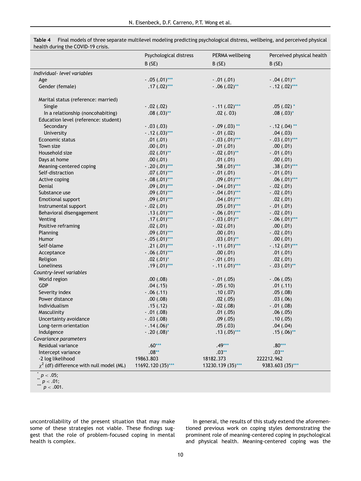|                                               | Psychological distress | PERMA wellbeing   | Perceived physical health |
|-----------------------------------------------|------------------------|-------------------|---------------------------|
|                                               | B(SE)                  | B(SE)             | B(SE)                     |
| Individual- level variables                   |                        |                   |                           |
| Age                                           | $-.05(.01)$ ***        | $-.01(.01)$       | $-.04(.01)$ **            |
| Gender (female)                               | $.17(.02)$ ***         | $-.06(.02)$ **    | $-.12(.02)***$            |
|                                               |                        |                   |                           |
| Marital status (reference: married)           |                        |                   |                           |
| Single                                        | $-.02(.02)$            | $-.11(.02)***$    | $.05(.02)$ *              |
| In a relationship (noncohabiting)             | $.08(.03)$ **          | .02(.03)          | $.08(.03)$ *              |
| Education level (reference: student)          |                        |                   |                           |
| Secondary                                     | $-.03(.03)$            | $-0.09$ (.03) **  | $-.12(.04)$ **            |
| University                                    | $-.12(.03)***$         | $-.01(.02)$       | .04(.03)                  |
| Economic status                               | .01(.01)               | $-.03(.01)$ ***   | $-.03(.01)$ ***           |
| Town size                                     | .00(0.01)              | $-.01(.01)$       | .00(0.01)                 |
| Household size                                | $.02(.01)$ **          | $-.02(.01)$ **    | $-.01(.01)$               |
| Days at home                                  | .00(.01)               | .01(.01)          | .00(0.01)                 |
| Meaning-centered coping                       | $-.20(.01)$ ***        | $.58(.01)$ ***    | $.38(.01)$ ***            |
| Self-distraction                              | $.07(.01)$ ***         | $-.01(.01)$       | $-.01(.01)$               |
| Active coping                                 | $-.08(.01)$ ***        | $.09(.01)$ ***    | $.06(.01)$ ***            |
| Denial                                        | $.09(.01)$ ***         | $-.04(.01)$ ***   | $-.02(.01)$               |
| Substance use                                 | $.09(.01)$ ***         | $-.04(.01)$ ***   | $-.02(.01)$               |
| <b>Emotional support</b>                      | $.09(.01)$ ***         | $.04(.01)$ ***    | .02(.01)                  |
| Instrumental support                          | $-.02(.01)$            | $.05(.01)$ ***    | $-.01(.01)$               |
| Behavioral disengagement                      | $.13(.01)$ ***         | $-.06(.01)$ ***   | $-.02(.01)$               |
| Venting                                       | $.17(.01)$ ***         | $-.03(.01)$ **    | $-.06(.01)$ ***           |
| Positive reframing                            | .02(.01)               | $-.02(.01)$       | .00(0.01)                 |
| Planning                                      | $.09(.01)$ ***         | .00(.01)          | $-.02(.01)$               |
| Humor                                         | $-.05(.01)$ ***        | $.03(.01)$ **     | .00(.01)                  |
| Self-blame                                    | $.21(.01)$ ***         | $-.11(.01)$ ***   | $-.12(.01)$ ***           |
| Acceptance                                    | $-.06(.01)$ ***        | .00(0.01)         | .01(.01)                  |
| Religion                                      | $.02(.01)$ *           | $-.01(.01)$       | .02(.01)                  |
| Loneliness                                    | $.19(.01)$ ***         | $-.11(.01)$ ***   | $-.03(.01)$ **            |
| Country-level variables                       |                        |                   |                           |
| World region                                  | .00(.08)               | $-.01(.05)$       | $-0.06(0.05)$             |
| GDP                                           | .04(.15)               | $-.05(.10)$       | .01(.11)                  |
| Severity index                                | $-.06(.11)$            | .10(0.07)         | .05(.08)                  |
| Power distance                                | .00(0.08)              | .02(.05)          | .03(.06)                  |
| Individualism                                 | .15(.12)               | $-.02(.08)$       | $-.01(.08)$               |
| Masculinity                                   | $-.01(.08)$            | .01(.05)          | .06(.05)                  |
| Uncertainty avoidance                         | $-0.03(0.08)$          | .09(.05)          | .10(0.05)                 |
| Long-term orientation                         | $-.14(.06)^*$          | .05(.03)          | .04(.04)                  |
| Indulgence                                    | $-.20(.08)*$           | $.13(.05)$ ***    | $.15(.06)$ **             |
| Covariance parameters                         |                        |                   |                           |
| Residual variance                             | $.60***$               | $.49***$          | $.80***$                  |
| Intercept variance                            | $.08**$                | $.03**$           | $.03**$                   |
| -2 log likelihood                             | 19863.803              | 18182.373         | 222212.962                |
| $\chi^2$ (df) difference with null model (ML) | 11692.120 (35)***      | 13230.139 (35)*** | 9383.603 (35)***          |
|                                               |                        |                   |                           |

<span id="page-9-0"></span>Table 4 Final models of three separate multilevel modeling predicting psychological distress, wellbeing, and perceived physical health during the COVID-19 crisis.

uncontrollability of the present situation that may make some of these strategies not viable. These findings suggest that the role of problem-focused coping in mental health is complex.

In general, the results of this study extend the aforementioned previous work on coping styles demonstrating the prominent role of meaning-centered coping in psychological and physical health. Meaning-centered coping was the

<span id="page-9-2"></span><span id="page-9-1"></span> $p < .05;$ <br>  $p < .01;$ <br>  $p < .001.$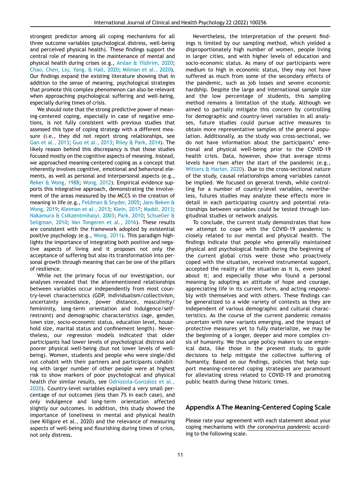strongest predictor among all coping mechanisms for all three outcome variables (psychological distress, well-being and perceived physical health). These findings support the central role of meaning in the maintenance of mental and physical health during crises (e.g., [Arslan & Yildirim, 2020](#page-11-12); [Chao, Chen, Liu, Yang, & Hall, 2020](#page-11-13); [Milman et al., 2020](#page-12-19)). Our findings expand the existing literature showing that in addition to the sense of meaning, psychological strategies that promote this complex phenomenon can also be relevant when approaching psychological suffering and well-being, especially during times of crisis.

We should note that the strong predictive power of meaning-centered coping, especially in case of negative emotions, is not fully consistent with previous studies that assessed this type of coping strategy with a different measure (i.e., they did not report strong relationships, see [Gan et al., 2013](#page-11-16); [Guo et al., 2013](#page-11-28); [Riley & Park, 2014\)](#page-12-33). The likely reason behind this discrepancy is that those studies focused mostly on the cognitive aspects of meaning. Instead, we approached meaning-centered coping as a concept that inherently involves cognitive, emotional and behavioral elements, as well as personal and interpersonal aspects (e.g., [Reker & Wong, 1988;](#page-12-17) [Wong, 2012](#page-13-3)). Empirical evidence supports this integrative approach, demonstrating the involvement of the areas measured by the MCCS in the creation of meaning in life (e.g., [Feldman & Snyder, 2005;](#page-11-15) [Jans-Beken &](#page-12-23) [Wong, 2019](#page-12-23); [Kleiman et al., 2013;](#page-12-24) [Klein, 2017;](#page-12-26) [Maddi, 2013](#page-12-22); [Nakamura & Csikzentmihalyi, 2003;](#page-12-25) [Park, 2010;](#page-12-21) [Schueller &](#page-13-10) [Seligman, 2010](#page-13-10); [Van Tongeren et al., 2016\)](#page-13-11). These results are consistent with the framework adopted by existential positive psychology (e.g., [Wong, 2011\)](#page-13-5). This paradigm highlights the importance of integrating both positive and negative aspects of living and it proposes not only the acceptance of suffering but also its transformation into personal growth through meaning that can be one of the pillars of resilience.

<span id="page-10-0"></span>While not the primary focus of our investigation, our analyses revealed that the aforementioned relationships between variables occur independently from most country-level characteristics (GDP, individualism/collectivism, uncertainty avoidance, power distance, masculinity/ femininity, long-term orientation and indulgence/selfrestraint) and demographic characteristics (age, gender, town size, socio-economic status, education level, household size, marital status and confinement length). Nevertheless, our regression models indicated that older participants had lower levels of psychological distress and poorer physical well-being (but not lower levels of wellbeing). Women, students and people who were single/did not cohabit with their partners and participants cohabiting with larger number of other people were at highest risk to show markers of poor psychological and physical health (for similar results, see [Odriozola-Gonz](#page-12-34)á[lez et al.,](#page-12-34) [2020\)](#page-12-34). Country-level variables explained a very small percentage of our outcomes (less than 7% in each case), and only indulgence and long-term orientation affected slightly our outcomes. In addition, this study showed the importance of loneliness in mental and physical health (see Killgore et al., 2020) and the relevance of measuring aspects of well-being and flourishing during times of crisis, not only distress.

Nevertheless, the interpretation of the present findings is limited by our sampling method, which yielded a disproportionately high number of women, people living in larger cities, and with higher levels of education and socio-economic status. As many of our participants were medium to high in economic status, they may not have suffered as much from some of the secondary effects of the pandemic, such as job losses and severe economic hardship. Despite the large and international sample size and the low percentage of students, this sampling method remains a limitation of the study. Although we aimed to partially mitigate this concern by controlling for demographic and country-level variables in all analyses, future studies could pursue active measures to obtain more representative samples of the general population. Additionally, as the study was cross-sectional, we do not have information about the participants' emotional and physical well-being prior to the COVID-19 health crisis. Data, however, show that average stress levels have risen after the start of the pandemic (e.g., [Witters & Harter, 2020](#page-13-1)). Due to the cross-sectional nature of the study, causal relationships among variables cannot be implied. We focused on general trends, while controlling for a number of country-level variables, nevertheless, futures studies may analyze these effects more in detail in each participating country and potential relationships between variables could be tested through longitudinal studies or network analysis.

To conclude, the current study demonstrates that how we attempt to cope with the COVID-19 pandemic is closely related to our mental and physical health. The findings indicate that people who generally maintained physical and psychological health during the beginning of the current global crisis were those who proactively coped with the situation, received instrumental support, accepted the reality of the situation as it is, even joked about it; and especially those who found a personal meaning by adopting an attitude of hope and courage, appreciating life in its current form, and acting responsibly with themselves and with others. These findings can be generalized to a wide variety of contexts as they are independent of various demographic and cultural characteristics. As the course of the current pandemic remains uncertain with new variants emerging, and the impact of protective measures yet to fully materialize, we may be the beginning of a longer, deeper and more complex crisis of humanity. We thus urge policy makers to use empirical data, like those in the present study, to guide decisions to help mitigate the collective suffering of humanity. Based on our findings, policies that help support meaning-centered coping strategies are paramount for alleviating stress related to COVID-19 and promoting public health during these historic times.

## Appendix A The Meaning-Centered Coping Scale

Please rate your agreement with each statement about your coping mechanisms with the coronavirus pandemic according to the following scale.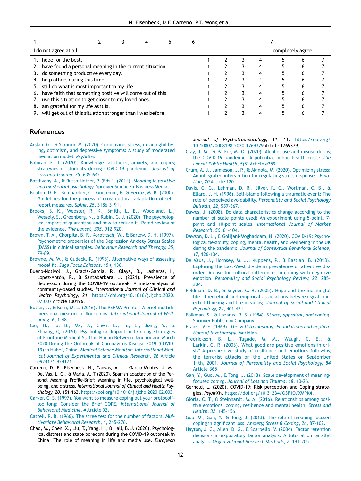|                                        | 4                                       |                                                                                                             | 6                                                                                                                                                                                                 |  |   |   |                  |
|----------------------------------------|-----------------------------------------|-------------------------------------------------------------------------------------------------------------|---------------------------------------------------------------------------------------------------------------------------------------------------------------------------------------------------|--|---|---|------------------|
|                                        |                                         |                                                                                                             |                                                                                                                                                                                                   |  |   |   |                  |
|                                        |                                         |                                                                                                             |                                                                                                                                                                                                   |  | 4 | h |                  |
|                                        |                                         |                                                                                                             |                                                                                                                                                                                                   |  |   |   |                  |
|                                        |                                         |                                                                                                             |                                                                                                                                                                                                   |  | n |   |                  |
| 4. I help others during this time.     |                                         |                                                                                                             |                                                                                                                                                                                                   |  |   |   |                  |
|                                        |                                         |                                                                                                             |                                                                                                                                                                                                   |  |   |   |                  |
|                                        |                                         |                                                                                                             |                                                                                                                                                                                                   |  |   | n |                  |
|                                        |                                         |                                                                                                             |                                                                                                                                                                                                   |  |   | h |                  |
| 8. I am grateful for my life as it is. |                                         |                                                                                                             |                                                                                                                                                                                                   |  |   | n |                  |
|                                        |                                         |                                                                                                             |                                                                                                                                                                                                   |  |   |   |                  |
|                                        | 3. I do something productive every day. | 5. I still do what is most important in my life.<br>7. I use this situation to get closer to my loved ones. | 2. I have found a personal meaning in the current situation.<br>6. I have faith that something positive will come out of this.<br>9. I will get out of this situation stronger than I was before. |  |   |   | completely agree |

## References

- <span id="page-11-12"></span><span id="page-11-7"></span>[Arslan, G., & Yildirim, M. \(2020\). Coronavirus stress, meaningful liv](http://refhub.elsevier.com/S1697-2600(21)00037-5/sbref0001)[ing, optimism, and depressive symptoms: A study of moderated](http://refhub.elsevier.com/S1697-2600(21)00037-5/sbref0001) [mediation model.](http://refhub.elsevier.com/S1697-2600(21)00037-5/sbref0001) PsyArXiv.
- <span id="page-11-14"></span><span id="page-11-2"></span>[Baloran, E. T. \(2020\). Knowledge, attitudes, anxiety, and coping](http://refhub.elsevier.com/S1697-2600(21)00037-5/sbref0002) strategies [of students during COVID-19 pandemic.](http://refhub.elsevier.com/S1697-2600(21)00037-5/sbref0002) Journal of [Loss and Trauma](http://refhub.elsevier.com/S1697-2600(21)00037-5/sbref0002), 25, 635–642.
- <span id="page-11-10"></span>[Batthyany, A., & Russo-Netzer, P. \(Eds.\). \(2014\).](http://refhub.elsevier.com/S1697-2600(21)00037-5/sbref0003) Meaning in positive and existential psychology[. Springer Science + Business Media.](http://refhub.elsevier.com/S1697-2600(21)00037-5/sbref0003)
- <span id="page-11-27"></span><span id="page-11-20"></span>[Beaton, D. E., Bombardier, C., Guillemin, F., & Ferraz, M. B. \(2000\).](http://refhub.elsevier.com/S1697-2600(21)00037-5/sbref0004) Guidelines [for the process of cross-cultural adaptation of self](http://refhub.elsevier.com/S1697-2600(21)00037-5/sbref0004)[report measures.](http://refhub.elsevier.com/S1697-2600(21)00037-5/sbref0004) Spine, 25, 3186–3191.
- <span id="page-11-22"></span><span id="page-11-1"></span>[Brooks, S. K., Webster, R. K., Smith, L. E., Woodland, L.,](http://refhub.elsevier.com/S1697-2600(21)00037-5/sbref0005) [Wessely, S., Greenberg, N., & Rubin, G. J. \(2020\). The psycholog](http://refhub.elsevier.com/S1697-2600(21)00037-5/sbref0005)[ical impact of quarantine and how to reduce it: Rapid review of](http://refhub.elsevier.com/S1697-2600(21)00037-5/sbref0005) [the evidence.](http://refhub.elsevier.com/S1697-2600(21)00037-5/sbref0005) The Lancet, 395, 912–920.
- <span id="page-11-18"></span><span id="page-11-4"></span>[Brown, T. A., Chorpita, B. F., Korotitsch, W., & Barlow, D. H. \(1997\).](http://refhub.elsevier.com/S1697-2600(21)00037-5/sbref0006) Psychometric [properties of the Depression Anxiety Stress Scales](http://refhub.elsevier.com/S1697-2600(21)00037-5/sbref0006) (DASS) in clinical samples. [Behaviour Research and Therapy](http://refhub.elsevier.com/S1697-2600(21)00037-5/sbref0006), 35, 79–[89.](http://refhub.elsevier.com/S1697-2600(21)00037-5/sbref0006)
- <span id="page-11-23"></span><span id="page-11-17"></span>[Browne, M. W., & Cudeck, R. \(1993\). Alternative ways of assessing](http://refhub.elsevier.com/S1697-2600(21)00037-5/sbref0007) model fit. Sage [Focus Editions](http://refhub.elsevier.com/S1697-2600(21)00037-5/sbref0007), 154, 136.
- <span id="page-11-0"></span>Bueno-Notivol, J., Gracia-García, P., Olaya, B., Lasheras, I., López-Antón, R., & Santabárbara, J. (2021). Prevalence of depression during the COVID-19 outbreak: A meta-analysis of community-based studies. International Journal of Clinical and Health Psychology, 21. [https://doi.org/10.1016/j.ijchp.2020.](http://dx.doi.org/10.1016/j.ijchp.2020.<?A3B2 re 3j?>07.007) 07.007 [Article 100196.](http://dx.doi.org/10.1016/j.ijchp.2020.<?A3B2 re 3j?>07.007)
- <span id="page-11-21"></span><span id="page-11-15"></span><span id="page-11-6"></span>[Butler, J., & Kern, M. L. \(2016\). The PERMA-Pro](http://refhub.elsevier.com/S1697-2600(21)00037-5/sbref0009)filer: A brief multidimensional measure of flourishing. [International Journal of Well](http://refhub.elsevier.com/S1697-2600(21)00037-5/sbref0009)[being](http://refhub.elsevier.com/S1697-2600(21)00037-5/sbref0009), 6, 1–48.
- <span id="page-11-11"></span><span id="page-11-8"></span><span id="page-11-3"></span>[Cai, H., Tu, B., Ma, J., Chen, L., Fu, L., Jiang, Y., &](http://refhub.elsevier.com/S1697-2600(21)00037-5/sbref0010) Zhuang, [Q. \(2020\). Psychological Impact and Coping Strategies](http://refhub.elsevier.com/S1697-2600(21)00037-5/sbref0010) [of Frontline Medical Staff in Hunan Between January and March](http://refhub.elsevier.com/S1697-2600(21)00037-5/sbref0010) [2020 During the Outbreak of Coronavirus Disease 2019 \(COVID-](http://refhub.elsevier.com/S1697-2600(21)00037-5/sbref0010)19) in Hubei, China. [Medical Science Monitor: International Med](http://refhub.elsevier.com/S1697-2600(21)00037-5/sbref0010)[ical Journal of Experimental and Clinical Research](http://refhub.elsevier.com/S1697-2600(21)00037-5/sbref0010), 26 Article [e924171-924171.](http://refhub.elsevier.com/S1697-2600(21)00037-5/sbref0010)
- <span id="page-11-26"></span><span id="page-11-16"></span>Carreno, D. F., Eisenbeck, N., Cangas, A. J., García-Montes, J. M., Del Vas, L. G., & María, A. T (2020). Spanish adaptation of the Personal Meaning Profile-Brief: Meaning in life, psychological wellbeing, and distress. International Journal of Clinical and Health Psychology, 20, 151–162. [https://doi.org/10.1016/j.ijchp.2020.02.003.](http://dx.doi.org/10.1016/j.ijchp.2020.02.003)
- <span id="page-11-19"></span><span id="page-11-9"></span><span id="page-11-5"></span>[Carver, C. S. \(1997\). You want to measure coping but your protocol](http://refhub.elsevier.com/S1697-2600(21)00037-5/sbref0012)' too [long: Consider the Brief COPE.](http://refhub.elsevier.com/S1697-2600(21)00037-5/sbref0012) International Journal of [Behavioral Medicine](http://refhub.elsevier.com/S1697-2600(21)00037-5/sbref0012), 4 Article 92.
- <span id="page-11-28"></span><span id="page-11-25"></span>[Cattell, R. B. \(1966\). The scree test for the number of factors.](http://refhub.elsevier.com/S1697-2600(21)00037-5/sbref0013) Multivariate [Behavioral Research](http://refhub.elsevier.com/S1697-2600(21)00037-5/sbref0013), 1, 245–276.
- <span id="page-11-24"></span><span id="page-11-13"></span>Chao, M., Chen, X., Liu, T., Yang, H., & Hall, B. J. (2020). Psychological distress and state boredom during the COVID-19 outbreak in China: The role of meaning in life and media use. European

Journal of Psychotraumatology, 11, 11. [https://doi.org/](http://dx.doi.org/10.1080/20008198.2020.1769379) [10.1080/20008198.2020.1769379](http://dx.doi.org/10.1080/20008198.2020.1769379) Article 1769379.

- [Clay, J. M., & Parker, M. O. \(2020\). Alcohol use and misuse during](http://refhub.elsevier.com/S1697-2600(21)00037-5/sbref0015) the [COVID-19 pandemic: A potential public health crisis?](http://refhub.elsevier.com/S1697-2600(21)00037-5/sbref0015) The [Lancet Public Health](http://refhub.elsevier.com/S1697-2600(21)00037-5/sbref0015), 5(5) Article e259.
- [Crum, A. J., Jamieson, J. P., & Akinola, M. \(2020\). Optimizing stress:](http://refhub.elsevier.com/S1697-2600(21)00037-5/sbref0016) An [integrated intervention for regulating stress responses.](http://refhub.elsevier.com/S1697-2600(21)00037-5/sbref0016) Emotion, 20 [Article 120.](http://refhub.elsevier.com/S1697-2600(21)00037-5/sbref0016)
- [Davis, C. G., Lehman, D. R., Silver, R. C., Wortman, C. B., &](http://refhub.elsevier.com/S1697-2600(21)00037-5/sbref0017) Ellard, [J. H. \(1996\). Self-blame following a traumatic event: The](http://refhub.elsevier.com/S1697-2600(21)00037-5/sbref0017) role of perceived avoidability. [Personality and Social Psychology](http://refhub.elsevier.com/S1697-2600(21)00037-5/sbref0017) [Bulletin](http://refhub.elsevier.com/S1697-2600(21)00037-5/sbref0017), 22, 557–567.
- [Dawes, J. \(2008\). Do data characteristics change according to the](http://refhub.elsevier.com/S1697-2600(21)00037-5/sbref0018) number [of scale points used? An experiment using 5-point, 7](http://refhub.elsevier.com/S1697-2600(21)00037-5/sbref0018) point and 10-point scales. [International Journal of Market](http://refhub.elsevier.com/S1697-2600(21)00037-5/sbref0018) [Research](http://refhub.elsevier.com/S1697-2600(21)00037-5/sbref0018), 50, 61–104.
- [Dawson, D. L., & Golijani-Moghaddam, N. \(2020\). COVID-19: Psycho](http://refhub.elsevier.com/S1697-2600(21)00037-5/sbref0019)logical fl[exibility, coping, mental health, and wellbeing in the UK](http://refhub.elsevier.com/S1697-2600(21)00037-5/sbref0019) during the pandemic. [Journal of Contextual Behavioral Science](http://refhub.elsevier.com/S1697-2600(21)00037-5/sbref0019), 17[, 126](http://refhub.elsevier.com/S1697-2600(21)00037-5/sbref0019)–134.
- [De Vaus, J., Hornsey, M. J., Kuppens, P., & Bastian, B. \(2018\).](http://refhub.elsevier.com/S1697-2600(21)00037-5/sbref0020) [Exploring the East-West divide in prevalence of affective dis](http://refhub.elsevier.com/S1697-2600(21)00037-5/sbref0020)[order: A case for cultural differences in coping with negative](http://refhub.elsevier.com/S1697-2600(21)00037-5/sbref0020) emotion. [Personality and Social Psychology Review](http://refhub.elsevier.com/S1697-2600(21)00037-5/sbref0020), 22, 285– [304.](http://refhub.elsevier.com/S1697-2600(21)00037-5/sbref0020)
- [Feldman, D. B., & Snyder, C. R. \(2005\). Hope and the meaningful](http://refhub.elsevier.com/S1697-2600(21)00037-5/sbref0021) life: [Theoretical and empirical associations between goal](http://refhub.elsevier.com/S1697-2600(21)00037-5/sbref0021)-[dir](http://refhub.elsevier.com/S1697-2600(21)00037-5/sbref0021)[ected thinking and life meaning.](http://refhub.elsevier.com/S1697-2600(21)00037-5/sbref0021) Journal of Social and Clinical [Psychology](http://refhub.elsevier.com/S1697-2600(21)00037-5/sbref0021), 24, 401–421.
- [Folkman, S., & Lazarus, R. S. \(1984\).](http://refhub.elsevier.com/S1697-2600(21)00037-5/sbref0022) Stress, appraisal, and coping. [Springer Publishing Company.](http://refhub.elsevier.com/S1697-2600(21)00037-5/sbref0022)
- Frankl, V. E. (1969). The [will to meaning: Foundations and applica](http://refhub.elsevier.com/S1697-2600(21)00037-5/sbref0023)[tions of logotherapy](http://refhub.elsevier.com/S1697-2600(21)00037-5/sbref0023). Meridian.
- [Fredrickson, B. L., Tugade, M. M., Waugh, C. E., &](http://refhub.elsevier.com/S1697-2600(21)00037-5/sbref0024) Larkin, [G. R. \(2003\). What good are positive emotions in cri](http://refhub.elsevier.com/S1697-2600(21)00037-5/sbref0024)[sis? A prospective study of resilience and emotions following](http://refhub.elsevier.com/S1697-2600(21)00037-5/sbref0024) [the terrorist attacks on the United States on September](http://refhub.elsevier.com/S1697-2600(21)00037-5/sbref0024) 11th, 2001. [Journal of Personality and Social Psychology](http://refhub.elsevier.com/S1697-2600(21)00037-5/sbref0024), 84 [Article 365.](http://refhub.elsevier.com/S1697-2600(21)00037-5/sbref0024)
- [Gan, Y., Guo, M., & Tong, J. \(2013\). Scale development of meaning](http://refhub.elsevier.com/S1697-2600(21)00037-5/sbref0025)focused coping. [Journal of Loss and Trauma](http://refhub.elsevier.com/S1697-2600(21)00037-5/sbref0025), 18, 10–26.
- Gerhold, L. (2020). COVID-19: Risk perception and Coping strategies. PsyArXiv. [https://doi.org/10.31234/OSF.IO/XMPK4.](http://dx.doi.org/10.31234/OSF.IO/XMPK4)
- [Gloria, C. T., & Steinhardt, M. A. \(2016\). Relationships among posi](http://refhub.elsevier.com/S1697-2600(21)00037-5/sbref0027)tive [emotions, coping, resilience and mental health.](http://refhub.elsevier.com/S1697-2600(21)00037-5/sbref0027) Stress and [Health](http://refhub.elsevier.com/S1697-2600(21)00037-5/sbref0027), 32, 145–156.
- [Guo, M., Gan, Y., & Tong, J. \(2013\). The role of meaning-focused](http://refhub.elsevier.com/S1697-2600(21)00037-5/sbref0028) coping in significant loss. [Anxiety, Stress & Coping](http://refhub.elsevier.com/S1697-2600(21)00037-5/sbref0028), 26, 87–102.
- [Hayton, J. C., Allen, D. G., & Scarpello, V. \(2004\). Factor retention](http://refhub.elsevier.com/S1697-2600(21)00037-5/sbref0029) decisions [in exploratory factor analysis: A tutorial on parallel](http://refhub.elsevier.com/S1697-2600(21)00037-5/sbref0029) analysis. [Organizational Research Methods](http://refhub.elsevier.com/S1697-2600(21)00037-5/sbref0029), 7, 191–205.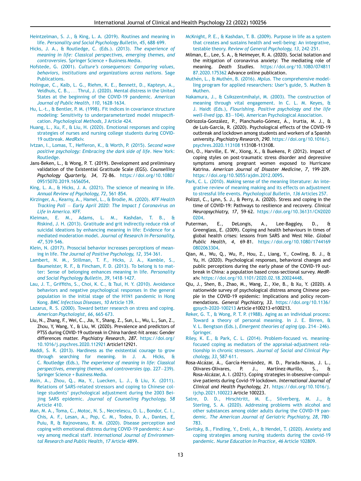- <span id="page-12-16"></span><span id="page-12-14"></span>[Heintzelman, S. J., & King, L. A. \(2019\). Routines and meaning in](http://refhub.elsevier.com/S1697-2600(21)00037-5/sbref0037) life. [Personality and Social Psychology Bulletin](http://refhub.elsevier.com/S1697-2600(21)00037-5/sbref0037), 45, 688–699.
- <span id="page-12-19"></span><span id="page-12-18"></span>[Hicks, J. A., & Routledge, C. \(Eds.\). \(2013\).](http://refhub.elsevier.com/S1697-2600(21)00037-5/sbref0030) The experience of [meaning in life: Classical perspectives, emerging themes, and](http://refhub.elsevier.com/S1697-2600(21)00037-5/sbref0030) controversies[. Springer Science + Business Media.](http://refhub.elsevier.com/S1697-2600(21)00037-5/sbref0030)
- <span id="page-12-27"></span>Hofstede, G. (2001). Culture's [consequences: Comparing values,](http://refhub.elsevier.com/S1697-2600(21)00037-5/sbref0032) [behaviors, institutions and organizations across nations](http://refhub.elsevier.com/S1697-2600(21)00037-5/sbref0032). Sage [Publications.](http://refhub.elsevier.com/S1697-2600(21)00037-5/sbref0032)
- <span id="page-12-28"></span><span id="page-12-25"></span><span id="page-12-0"></span>[Holingue, C., Kalb, L. G., Riehm, K. E., Bennett, D., Kapteyn, A.,](http://refhub.elsevier.com/S1697-2600(21)00037-5/sbref0031) [Veldhuis, C. B.,](http://refhub.elsevier.com/S1697-2600(21)00037-5/sbref0031) ... [Thrul, J. \(2020\). Mental distress in the United](http://refhub.elsevier.com/S1697-2600(21)00037-5/sbref0031) [States at the beginning of the COVID-19 pandemic.](http://refhub.elsevier.com/S1697-2600(21)00037-5/sbref0031) American [Journal of Public Health](http://refhub.elsevier.com/S1697-2600(21)00037-5/sbref0031), 110, 1628–1634.
- <span id="page-12-29"></span>[Hu, L.-t., & Bentler, P. M. \(1998\). Fit indices in covariance structure](http://refhub.elsevier.com/S1697-2600(21)00037-5/sbref0033) modeling: [Sensitivity to underparameterized model misspeci](http://refhub.elsevier.com/S1697-2600(21)00037-5/sbref0033)fication. [Psychological Methods](http://refhub.elsevier.com/S1697-2600(21)00037-5/sbref0033), 3 Article 424.
- <span id="page-12-34"></span><span id="page-12-8"></span>[Huang, L., Xu, F., & Liu, H. \(2020\). Emotional responses and coping](http://refhub.elsevier.com/S1697-2600(21)00037-5/sbref0034) strategies [of nurses and nursing college students during COVID-](http://refhub.elsevier.com/S1697-2600(21)00037-5/sbref0034)[19 outbreak.](http://refhub.elsevier.com/S1697-2600(21)00037-5/sbref0034) MedRxiv.
- <span id="page-12-32"></span><span id="page-12-20"></span>[Ivtzan, I., Lomas, T., Hefferon, K., & Worth, P. \(2015\).](http://refhub.elsevier.com/S1697-2600(21)00037-5/sbref0035) Second wave [positive psychology: Embracing the dark side of life](http://refhub.elsevier.com/S1697-2600(21)00037-5/sbref0035). New York: [Routledge.](http://refhub.elsevier.com/S1697-2600(21)00037-5/sbref0035)
- <span id="page-12-23"></span>Jans-Beken, L., & Wong, P. T. (2019). Development and preliminary validation of the Existential Gratitude Scale (EGS). Counselling Psychology Quarterly, 34, 72–86. [https://doi.org/10.1080/](http://dx.doi.org/10.1080/09515070.2019.1656054) [09515070.2019.1656054.](http://dx.doi.org/10.1080/09515070.2019.1656054)
- <span id="page-12-21"></span><span id="page-12-13"></span>[King, L. A., & Hicks, J. A. \(2021\). The science of meaning in life.](http://refhub.elsevier.com/S1697-2600(21)00037-5/sbref0039) Annual [Review of Psychology](http://refhub.elsevier.com/S1697-2600(21)00037-5/sbref0039), 72, 561–854.
- <span id="page-12-5"></span><span id="page-12-1"></span>[Kirzinger, A., Kearny, A., Hamel, L., & Brodie, M. \(2020\).](http://refhub.elsevier.com/S1697-2600(21)00037-5/sbref0041) KFF Health [Tracking Poll](http://refhub.elsevier.com/S1697-2600(21)00037-5/sbref0041) - [Early April 2020: The Impact f Coronavirus on](http://refhub.elsevier.com/S1697-2600(21)00037-5/sbref0041) [Life in America](http://refhub.elsevier.com/S1697-2600(21)00037-5/sbref0041). KFF.
- <span id="page-12-31"></span><span id="page-12-24"></span>[Kleiman, E. M., Adams, L. M., Kashdan, T. B., &](http://refhub.elsevier.com/S1697-2600(21)00037-5/sbref0042) Riskind, [J. H. \(2013\). Gratitude and grit indirectly reduce risk of](http://refhub.elsevier.com/S1697-2600(21)00037-5/sbref0042) [suicidal ideations by enhancing meaning in life: Evidence for a](http://refhub.elsevier.com/S1697-2600(21)00037-5/sbref0042) mediated moderation model. [Journal of Research in Personality](http://refhub.elsevier.com/S1697-2600(21)00037-5/sbref0042), 47[, 539](http://refhub.elsevier.com/S1697-2600(21)00037-5/sbref0042)–546.
- <span id="page-12-26"></span><span id="page-12-3"></span>[Klein, N. \(2017\). Prosocial behavior increases perceptions of mean](http://refhub.elsevier.com/S1697-2600(21)00037-5/sbref0043)ing in life. [The Journal of Positive Psychology](http://refhub.elsevier.com/S1697-2600(21)00037-5/sbref0043), 12, 354–361.
- <span id="page-12-15"></span>[Lambert, N. M., Stillman, T. F., Hicks, J. A., Kamble, S.,](http://refhub.elsevier.com/S1697-2600(21)00037-5/sbref0044) [Baumeister, R. F., & Fincham, F. D. \(2013\). To belong is to mat](http://refhub.elsevier.com/S1697-2600(21)00037-5/sbref0044)[ter: Sense of belonging enhances meaning in life.](http://refhub.elsevier.com/S1697-2600(21)00037-5/sbref0044) Personality [and Social Psychology Bulletin](http://refhub.elsevier.com/S1697-2600(21)00037-5/sbref0044), 39, 1418–1427.
- <span id="page-12-30"></span><span id="page-12-2"></span>Lau, J. T., Griffiths, [S., Choi, K. C., & Tsui, H. Y. \(2010\). Avoidance](http://refhub.elsevier.com/S1697-2600(21)00037-5/sbref0045) [behaviors and negative psychological responses in the general](http://refhub.elsevier.com/S1697-2600(21)00037-5/sbref0045) [population in the initial stage of the H1N1 pandemic in Hong](http://refhub.elsevier.com/S1697-2600(21)00037-5/sbref0045) Kong. [BMC Infectious Diseases](http://refhub.elsevier.com/S1697-2600(21)00037-5/sbref0045), 10 Article 139.
- <span id="page-12-17"></span><span id="page-12-12"></span>[Lazarus, R. S. \(2000\). Toward better research on stress and coping.](http://refhub.elsevier.com/S1697-2600(21)00037-5/sbref0046) American [Psychologist](http://refhub.elsevier.com/S1697-2600(21)00037-5/sbref0046), 66, 665–673.
- <span id="page-12-4"></span>Liu, N., Zhang, F., Wei, C., Jia, Y., Shang, Z., Sun, L., Wu, L., Sun, Z., Zhou, Y, Wang, Y., & Liu, W. (2020). Prevalence and predictors of PTSS during COVID-19 outbreak in China hardest-hit areas: Gender differences matter. Psychiatry Research, 287. [https://doi.org/](http://dx.doi.org/10.1016/j.psychres.2020.112921) [10.1016/j.psychres.2020.112921](http://dx.doi.org/10.1016/j.psychres.2020.112921) Article112921.
- <span id="page-12-33"></span><span id="page-12-22"></span><span id="page-12-6"></span>[Maddi, S. R. \(2013\). Hardiness as](http://refhub.elsevier.com/S1697-2600(21)00037-5/sbref0048) the existential courage to grow [through searching for meaning. In J. A. Hicks, &](http://refhub.elsevier.com/S1697-2600(21)00037-5/sbref0048) C. Routledge (Eds.), [The experience of meaning in life: Classical](http://refhub.elsevier.com/S1697-2600(21)00037-5/sbref0048) [perspectives, emerging themes, and controversies](http://refhub.elsevier.com/S1697-2600(21)00037-5/sbref0048) (pp. 227-[239\).](http://refhub.elsevier.com/S1697-2600(21)00037-5/sbref0048) [Springer Science + Business Media.](http://refhub.elsevier.com/S1697-2600(21)00037-5/sbref0048)
- <span id="page-12-7"></span>[Main, A., Zhou, Q., Ma, Y., Luecken, L. J., & Liu, X. \(2011\).](http://refhub.elsevier.com/S1697-2600(21)00037-5/sbref0049) [Relations of SARS-related stressors and coping to Chinese col](http://refhub.elsevier.com/S1697-2600(21)00037-5/sbref0049)lege students' [psychological adjustment during the 2003 Bei](http://refhub.elsevier.com/S1697-2600(21)00037-5/sbref0049)jing SARS epidemic. [Journal of Counseling Psychology](http://refhub.elsevier.com/S1697-2600(21)00037-5/sbref0049), 58 [Article 410.](http://refhub.elsevier.com/S1697-2600(21)00037-5/sbref0049)
- <span id="page-12-11"></span><span id="page-12-10"></span><span id="page-12-9"></span>[Man, M. A., Toma, C., Motoc, N. S., Necrelescu, O. L., Bondor, C. I.,](http://refhub.elsevier.com/S1697-2600(21)00037-5/sbref0050) Chis, [A. F., Lesan, A., Pop, C. M., Todea, D. A., Dantes, E,](http://refhub.elsevier.com/S1697-2600(21)00037-5/sbref0050) [Puiu, R, & Rajnoveanu, R. M. \(2020\). Disease perception and](http://refhub.elsevier.com/S1697-2600(21)00037-5/sbref0050) [coping with emotional distress during COVID-19 pandemic: A sur](http://refhub.elsevier.com/S1697-2600(21)00037-5/sbref0050)vey among medical staff. [International Journal of Environmen](http://refhub.elsevier.com/S1697-2600(21)00037-5/sbref0050)[tal Research and Public Health](http://refhub.elsevier.com/S1697-2600(21)00037-5/sbref0050), 17 Article 4899.
- [McKnight, P. E., & Kashdan, T. B. \(2009\). Purpose in life as a system](http://refhub.elsevier.com/S1697-2600(21)00037-5/sbref0051) that [creates and sustains health and well-being: An integrative,](http://refhub.elsevier.com/S1697-2600(21)00037-5/sbref0051) testable theory. [Review of General Psychology](http://refhub.elsevier.com/S1697-2600(21)00037-5/sbref0051), 13, 242–251.
- Milman, E., Lee, S. A., & Neimeyer, R. A. (2020). Social isolation and the mitigation of coronavirus anxiety: The mediating role of meaning. Death Studies. [https://doi.org/10.1080/074811](http://dx.doi.org/10.1080/074811<?A3B2 re 3j?>87.2020.175362) 87.2020.175362 [Advance online publication.](http://dx.doi.org/10.1080/074811<?A3B2 re 3j?>87.2020.175362)
- [Muth](http://refhub.elsevier.com/S1697-2600(21)00037-5/sbref0053)én, L., & Muthén, B. (2016). Mplus. [The comprehensive model](http://refhub.elsevier.com/S1697-2600(21)00037-5/sbref0053)[ling program for applied researchers: User](http://refhub.elsevier.com/S1697-2600(21)00037-5/sbref0053)'s guide, 5. Muthen & [Muthen.](http://refhub.elsevier.com/S1697-2600(21)00037-5/sbref0053)
- [Nakamura, J., & Csikszentmihalyi, M. \(2003\). The construction of](http://refhub.elsevier.com/S1697-2600(21)00037-5/sbref0054) meaning [through vital engagement. In C. L. M. Keyes, &](http://refhub.elsevier.com/S1697-2600(21)00037-5/sbref0054) J. Haidt (Eds.), [Flourishing. Positive psychology and the life](http://refhub.elsevier.com/S1697-2600(21)00037-5/sbref0054) [well-lived](http://refhub.elsevier.com/S1697-2600(21)00037-5/sbref0054) (pp. 83-[104\). American Psychological Association.](http://refhub.elsevier.com/S1697-2600(21)00037-5/sbref0054)
- Odriozola-González, P., Planchuelo-Gómez, Á., Irurtia, M. J., & de Luis-García, R. (2020). Psychological effects of the COVID-19 outbreak and lockdown among students and workers of a Spanish university. Psychiatry Research, 290. [https://doi.org/10.1016/j.](http://dx.doi.org/10.1016/j.psychres.2020.113108) [psychres.2020.113108](http://dx.doi.org/10.1016/j.psychres.2020.113108) 113108-113108.
- Oni, O., Harville, E. W., Xiong, X., & Buekens, P. (2012). Impact of coping styles on post-traumatic stress disorder and depressive symptoms among pregnant women exposed to Hurricane Katrina. American Journal of Disaster Medicine, 7, 199–209. [https://doi.org/10.5055/ajdm.2012.0095.](http://dx.doi.org/10.5055/ajdm.2012.0095)
- [Park, C. L. \(2010\). Making sense of the meaning literature: An inte](http://refhub.elsevier.com/S1697-2600(21)00037-5/sbref0057)grative [review of meaning making and its effects on adjustment](http://refhub.elsevier.com/S1697-2600(21)00037-5/sbref0057) [to stressful life events.](http://refhub.elsevier.com/S1697-2600(21)00037-5/sbref0057) Psychological Bulletin, 136 Articles 257.
- Polizzi, C., Lynn, S. J., & Perry, A. (2020). Stress and coping in the time of COVID-19: Pathways to resilience and recovery. Clinical Neuropsychiatry, 17, 59–62. [https://doi.org/10.36131/CN2020](http://dx.doi.org/10.36131/CN2020<?A3B2 re 3j?>0204) [0204.](http://dx.doi.org/10.36131/CN2020<?A3B2 re 3j?>0204)
- Puterman, E., DeLongis, A., Lee-Baggley, D., & Greenglass, E. (2009). Coping and health behaviours in times of global health crises: lessons from SARS and West Nile. Global Public Health, 4, 69–81. [https://doi.org/10.1080/1744169](http://dx.doi.org/10.1080/1744169<?A3B2 re 3j?>0802063304) [0802063304.](http://dx.doi.org/10.1080/1744169<?A3B2 re 3j?>0802063304)
- Qian, M., Wu, Q., Wu, P., Hou, Z., Liang, Y., Cowling, B. J., & Yu, H. (2020). Psychological responses, behavioral changes and public perceptions during the early phase of the COVID-19 outbreak in China: a population based cross-sectional survey. MedRxiv. [https://doi.org/10.1101/2020.02.18.20024448.](http://dx.doi.org/10.1101/2020.02.18.20024448)
- Qiu, J., Shen, B., Zhao, M., Wang, Z., Xie, B., & Xu, Y. (2020). A nationwide survey of psychological distress among Chinese people in the COVID-19 epidemic: Implications and policy recommendations. General Psychiatry, 33. [https://doi.org/10.1136/](http://dx.doi.org/10.1136/gpsych-2020-100213) gpsych-2020-100213 [Article e100213-e100213.](http://dx.doi.org/10.1136/gpsych-2020-100213)
- [Reker, G. T., & Wong, P. T. P. \(1988\). Aging as an individual process:](http://refhub.elsevier.com/S1697-2600(21)00037-5/sbref0062) [Toward a theory of personal meaning. In J. E. Birren, &](http://refhub.elsevier.com/S1697-2600(21)00037-5/sbref0062) V. L. Bengtson (Eds.), [Emergent theories of aging](http://refhub.elsevier.com/S1697-2600(21)00037-5/sbref0062) (pp. 214-[246\).](http://refhub.elsevier.com/S1697-2600(21)00037-5/sbref0062) [Springer.](http://refhub.elsevier.com/S1697-2600(21)00037-5/sbref0062)
- [Riley, K. E., & Park, C. L. \(2014\). Problem-focused vs. meaning](http://refhub.elsevier.com/S1697-2600(21)00037-5/sbref0063)focused [coping as mediators of the appraisal-adjustment rela](http://refhub.elsevier.com/S1697-2600(21)00037-5/sbref0063)tionship in chronic stressors. [Journal of Social and Clinical Psy](http://refhub.elsevier.com/S1697-2600(21)00037-5/sbref0063)[chology](http://refhub.elsevier.com/S1697-2600(21)00037-5/sbref0063), 33, 587–611.
- Rosa-Alcázar, Á., García-Hernández, M. D., Parada-Navas, J. L., Olivares-Olivares, P. J., Martínez-Murillo, S., & Rosa-Alcázar, A. I. (2021). Coping strategies in obsessive-compulsive patients during Covid-19 lockdown. International Journal of Clinical and Health Psychology, 21. [https://doi.org/10.1016/j.](http://dx.doi.org/10.1016/j.ijchp.2021.100223) [ijchp.2021.100223](http://dx.doi.org/10.1016/j.ijchp.2021.100223) Article 100223.
- [Satre, D. D., Hirschtritt, M. E., Silverberg, M. J., &](http://refhub.elsevier.com/S1697-2600(21)00037-5/sbref0065) Sterling, [S. A. \(2020\). Addressing problems with alcohol and](http://refhub.elsevier.com/S1697-2600(21)00037-5/sbref0065) [other substances among older adults during the COVID-19 pan](http://refhub.elsevier.com/S1697-2600(21)00037-5/sbref0065)demic. [The American Journal of Geriatric Psychiatry](http://refhub.elsevier.com/S1697-2600(21)00037-5/sbref0065), 28, 780– [783.](http://refhub.elsevier.com/S1697-2600(21)00037-5/sbref0065)
- [Savitsky, B., Findling, Y., Ereli, A., & Hendel, T. \(2020\). Anxiety and](http://refhub.elsevier.com/S1697-2600(21)00037-5/sbref0066) coping [strategies among nursing students during the covid-19](http://refhub.elsevier.com/S1697-2600(21)00037-5/sbref0066) pandemic. [Nurse Education in Practice](http://refhub.elsevier.com/S1697-2600(21)00037-5/sbref0066), 46 Article 102809.